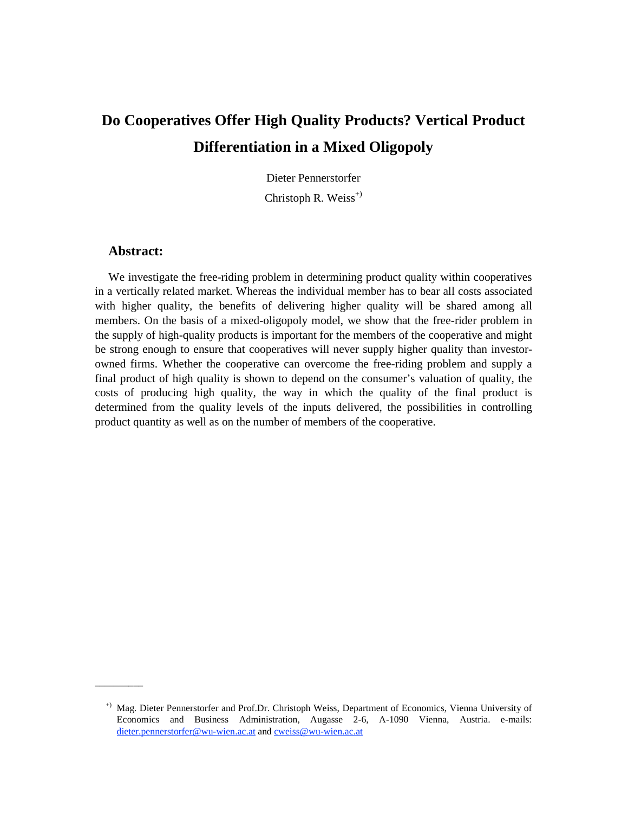# **Do Cooperatives Offer High Quality Products? Vertical Product Differentiation in a Mixed Oligopoly**

Dieter Pennerstorfer

Christoph R. Weiss<sup>+)</sup>

# **Abstract:**

\_\_\_\_\_\_\_\_\_\_

We investigate the free-riding problem in determining product quality within cooperatives in a vertically related market. Whereas the individual member has to bear all costs associated with higher quality, the benefits of delivering higher quality will be shared among all members. On the basis of a mixed-oligopoly model, we show that the free-rider problem in the supply of high-quality products is important for the members of the cooperative and might be strong enough to ensure that cooperatives will never supply higher quality than investorowned firms. Whether the cooperative can overcome the free-riding problem and supply a final product of high quality is shown to depend on the consumer's valuation of quality, the costs of producing high quality, the way in which the quality of the final product is determined from the quality levels of the inputs delivered, the possibilities in controlling product quantity as well as on the number of members of the cooperative.

<sup>+)</sup> Mag. Dieter Pennerstorfer and Prof.Dr. Christoph Weiss, Department of Economics, Vienna University of Economics and Business Administration, Augasse 2-6, A-1090 Vienna, Austria. e-mails: dieter.pennerstorfer@wu-wien.ac.at and cweiss@wu-wien.ac.at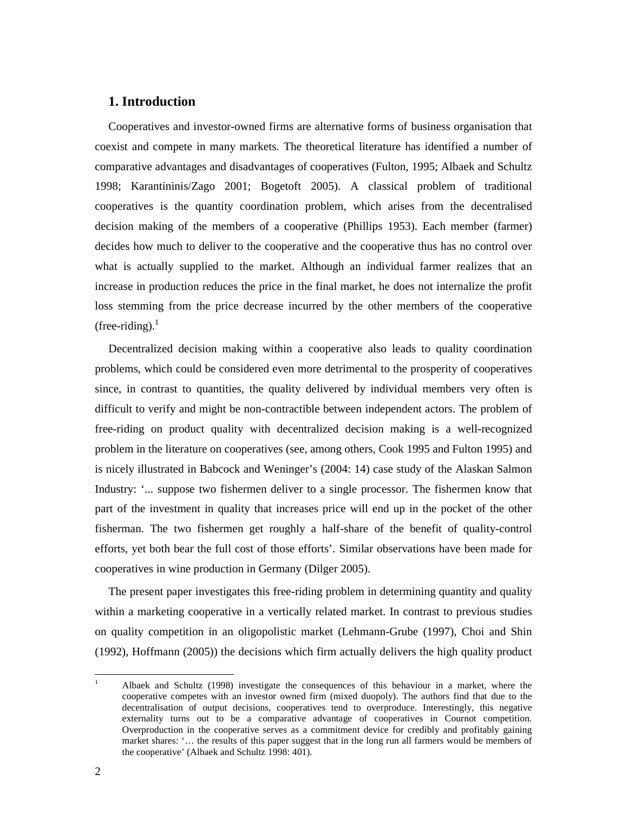# **1. Introduction**

Cooperatives and investor-owned firms are alternative forms of business organisation that coexist and compete in many markets. The theoretical literature has identified a number of comparative advantages and disadvantages of cooperatives (Fulton, 1995; Albaek and Schultz 1998; Karantininis/Zago 2001; Bogetoft 2005). A classical problem of traditional cooperatives is the quantity coordination problem, which arises from the decentralised decision making of the members of a cooperative (Phillips 1953). Each member (farmer) decides how much to deliver to the cooperative and the cooperative thus has no control over what is actually supplied to the market. Although an individual farmer realizes that an increase in production reduces the price in the final market, he does not internalize the profit loss stemming from the price decrease incurred by the other members of the cooperative  $($ free-riding $).<sup>1</sup>$ 

Decentralized decision making within a cooperative also leads to quality coordination problems, which could be considered even more detrimental to the prosperity of cooperatives since, in contrast to quantities, the quality delivered by individual members very often is difficult to verify and might be non-contractible between independent actors. The problem of free-riding on product quality with decentralized decision making is a well-recognized problem in the literature on cooperatives (see, among others, Cook 1995 and Fulton 1995) and is nicely illustrated in Babcock and Weninger's (2004: 14) case study of the Alaskan Salmon Industry: '... suppose two fishermen deliver to a single processor. The fishermen know that part of the investment in quality that increases price will end up in the pocket of the other fisherman. The two fishermen get roughly a half-share of the benefit of quality-control efforts, yet both bear the full cost of those efforts'. Similar observations have been made for cooperatives in wine production in Germany (Dilger 2005).

The present paper investigates this free-riding problem in determining quantity and quality within a marketing cooperative in a vertically related market. In contrast to previous studies on quality competition in an oligopolistic market (Lehmann-Grube (1997), Choi and Shin (1992), Hoffmann (2005)) the decisions which firm actually delivers the high quality product

<sup>|&</sup>lt;br>|<br>| Albaek and Schultz (1998) investigate the consequences of this behaviour in a market, where the cooperative competes with an investor owned firm (mixed duopoly). The authors find that due to the decentralisation of output decisions, cooperatives tend to overproduce. Interestingly, this negative externality turns out to be a comparative advantage of cooperatives in Cournot competition. Overproduction in the cooperative serves as a commitment device for credibly and profitably gaining market shares: '… the results of this paper suggest that in the long run all farmers would be members of the cooperative' (Albaek and Schultz 1998: 401).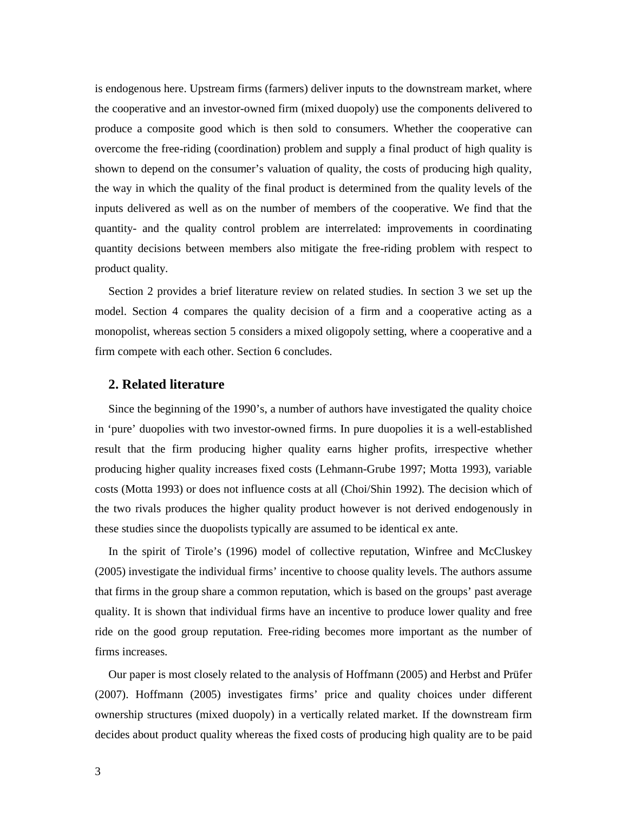is endogenous here. Upstream firms (farmers) deliver inputs to the downstream market, where the cooperative and an investor-owned firm (mixed duopoly) use the components delivered to produce a composite good which is then sold to consumers. Whether the cooperative can overcome the free-riding (coordination) problem and supply a final product of high quality is shown to depend on the consumer's valuation of quality, the costs of producing high quality, the way in which the quality of the final product is determined from the quality levels of the inputs delivered as well as on the number of members of the cooperative. We find that the quantity- and the quality control problem are interrelated: improvements in coordinating quantity decisions between members also mitigate the free-riding problem with respect to product quality.

Section 2 provides a brief literature review on related studies. In section 3 we set up the model. Section 4 compares the quality decision of a firm and a cooperative acting as a monopolist, whereas section 5 considers a mixed oligopoly setting, where a cooperative and a firm compete with each other. Section 6 concludes.

## **2. Related literature**

Since the beginning of the 1990's, a number of authors have investigated the quality choice in 'pure' duopolies with two investor-owned firms. In pure duopolies it is a well-established result that the firm producing higher quality earns higher profits, irrespective whether producing higher quality increases fixed costs (Lehmann-Grube 1997; Motta 1993), variable costs (Motta 1993) or does not influence costs at all (Choi/Shin 1992). The decision which of the two rivals produces the higher quality product however is not derived endogenously in these studies since the duopolists typically are assumed to be identical ex ante.

In the spirit of Tirole's (1996) model of collective reputation, Winfree and McCluskey (2005) investigate the individual firms' incentive to choose quality levels. The authors assume that firms in the group share a common reputation, which is based on the groups' past average quality. It is shown that individual firms have an incentive to produce lower quality and free ride on the good group reputation. Free-riding becomes more important as the number of firms increases.

Our paper is most closely related to the analysis of Hoffmann (2005) and Herbst and Prüfer (2007). Hoffmann (2005) investigates firms' price and quality choices under different ownership structures (mixed duopoly) in a vertically related market. If the downstream firm decides about product quality whereas the fixed costs of producing high quality are to be paid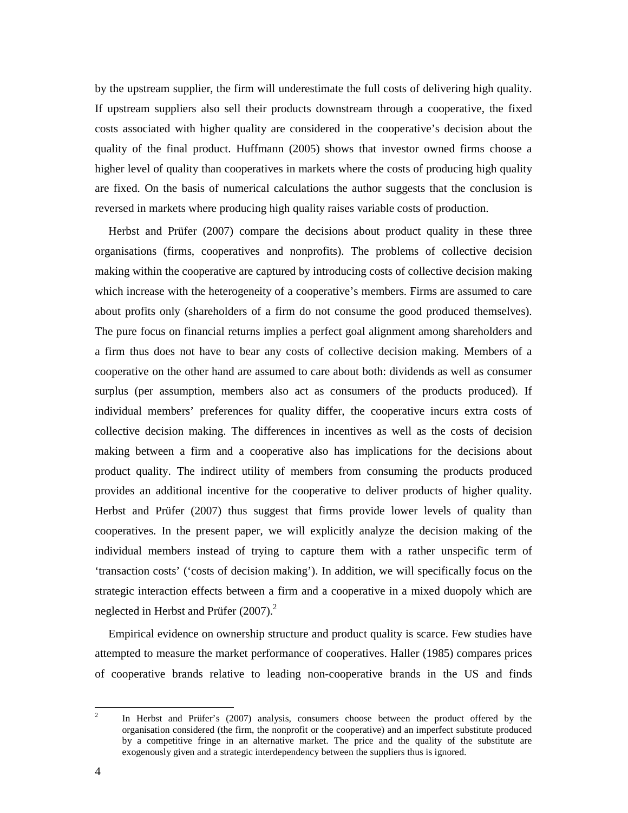by the upstream supplier, the firm will underestimate the full costs of delivering high quality. If upstream suppliers also sell their products downstream through a cooperative, the fixed costs associated with higher quality are considered in the cooperative's decision about the quality of the final product. Huffmann (2005) shows that investor owned firms choose a higher level of quality than cooperatives in markets where the costs of producing high quality are fixed. On the basis of numerical calculations the author suggests that the conclusion is reversed in markets where producing high quality raises variable costs of production.

Herbst and Prüfer (2007) compare the decisions about product quality in these three organisations (firms, cooperatives and nonprofits). The problems of collective decision making within the cooperative are captured by introducing costs of collective decision making which increase with the heterogeneity of a cooperative's members. Firms are assumed to care about profits only (shareholders of a firm do not consume the good produced themselves). The pure focus on financial returns implies a perfect goal alignment among shareholders and a firm thus does not have to bear any costs of collective decision making. Members of a cooperative on the other hand are assumed to care about both: dividends as well as consumer surplus (per assumption, members also act as consumers of the products produced). If individual members' preferences for quality differ, the cooperative incurs extra costs of collective decision making. The differences in incentives as well as the costs of decision making between a firm and a cooperative also has implications for the decisions about product quality. The indirect utility of members from consuming the products produced provides an additional incentive for the cooperative to deliver products of higher quality. Herbst and Prüfer (2007) thus suggest that firms provide lower levels of quality than cooperatives. In the present paper, we will explicitly analyze the decision making of the individual members instead of trying to capture them with a rather unspecific term of 'transaction costs' ('costs of decision making'). In addition, we will specifically focus on the strategic interaction effects between a firm and a cooperative in a mixed duopoly which are neglected in Herbst and Prüfer  $(2007)$ .<sup>2</sup>

Empirical evidence on ownership structure and product quality is scarce. Few studies have attempted to measure the market performance of cooperatives. Haller (1985) compares prices of cooperative brands relative to leading non-cooperative brands in the US and finds

 $\frac{1}{2}$  In Herbst and Prüfer's (2007) analysis, consumers choose between the product offered by the organisation considered (the firm, the nonprofit or the cooperative) and an imperfect substitute produced by a competitive fringe in an alternative market. The price and the quality of the substitute are exogenously given and a strategic interdependency between the suppliers thus is ignored.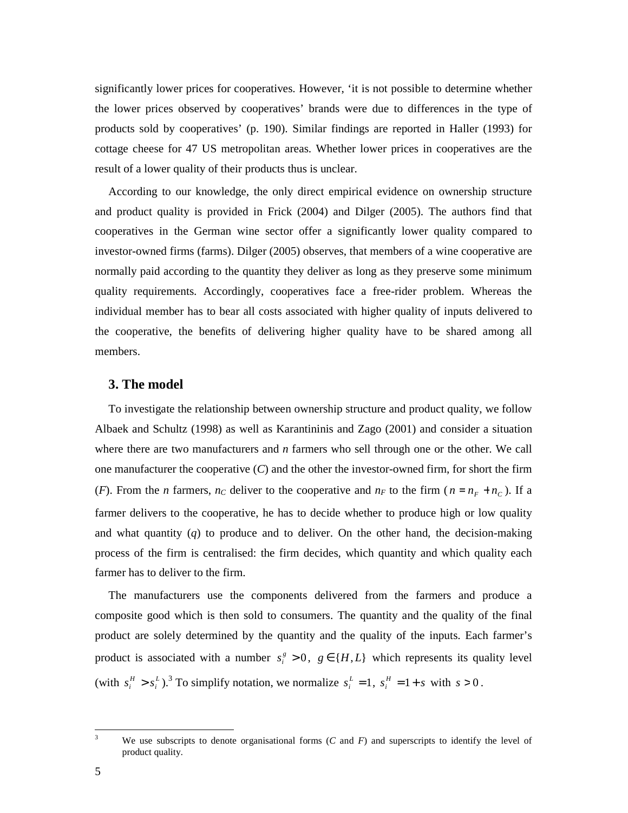significantly lower prices for cooperatives. However, 'it is not possible to determine whether the lower prices observed by cooperatives' brands were due to differences in the type of products sold by cooperatives' (p. 190). Similar findings are reported in Haller (1993) for cottage cheese for 47 US metropolitan areas. Whether lower prices in cooperatives are the result of a lower quality of their products thus is unclear.

According to our knowledge, the only direct empirical evidence on ownership structure and product quality is provided in Frick (2004) and Dilger (2005). The authors find that cooperatives in the German wine sector offer a significantly lower quality compared to investor-owned firms (farms). Dilger (2005) observes, that members of a wine cooperative are normally paid according to the quantity they deliver as long as they preserve some minimum quality requirements. Accordingly, cooperatives face a free-rider problem. Whereas the individual member has to bear all costs associated with higher quality of inputs delivered to the cooperative, the benefits of delivering higher quality have to be shared among all members.

## **3. The model**

To investigate the relationship between ownership structure and product quality, we follow Albaek and Schultz (1998) as well as Karantininis and Zago (2001) and consider a situation where there are two manufacturers and *n* farmers who sell through one or the other. We call one manufacturer the cooperative (*C*) and the other the investor-owned firm, for short the firm (*F*). From the *n* farmers,  $n_C$  deliver to the cooperative and  $n_F$  to the firm ( $n = n_F + n_C$ ). If a farmer delivers to the cooperative, he has to decide whether to produce high or low quality and what quantity (*q*) to produce and to deliver. On the other hand, the decision-making process of the firm is centralised: the firm decides, which quantity and which quality each farmer has to deliver to the firm.

The manufacturers use the components delivered from the farmers and produce a composite good which is then sold to consumers. The quantity and the quality of the final product are solely determined by the quantity and the quality of the inputs. Each farmer's product is associated with a number  $s_i^g > 0$ ,  $g \in \{H, L\}$  which represents its quality level (with  $s_i^H > s_i^L$ ).<sup>3</sup> To simplify notation, we normalize  $s_i^L = 1$ ,  $s_i^H = 1 + s$  with  $s > 0$ .

<sup>&</sup>lt;sup>3</sup> We use subscripts to denote organisational forms (*C* and *F*) and superscripts to identify the level of product quality.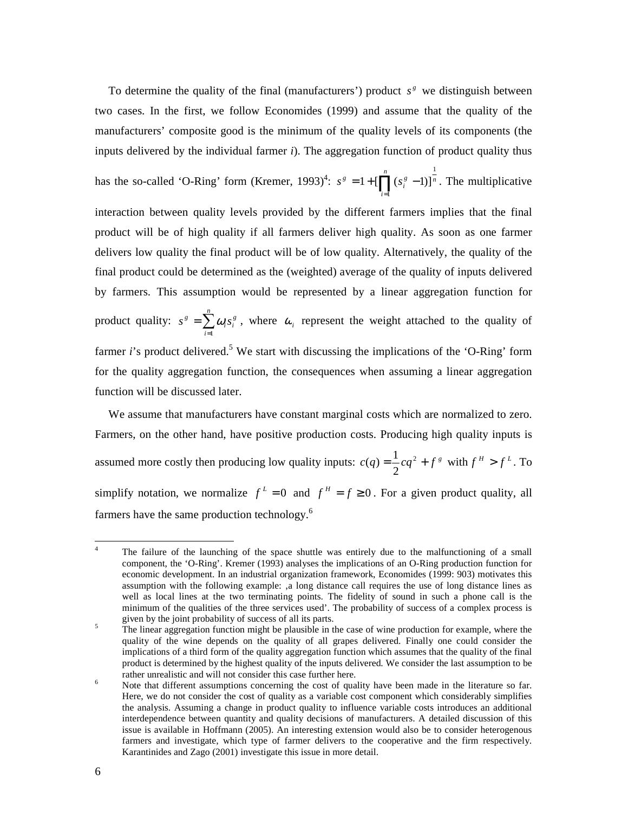To determine the quality of the final (manufacturers') product  $s^s$  we distinguish between two cases. In the first, we follow Economides (1999) and assume that the quality of the manufacturers' composite good is the minimum of the quality levels of its components (the inputs delivered by the individual farmer *i*). The aggregation function of product quality thus

1

has the so-called 'O-Ring' form (Kremer, 1993)<sup>4</sup>:  $s^s = 1 + [\prod_{i=1}^{n} (s_i^s - 1)]^{\frac{1}{n}}$ *i*  $s^g = 1 + \prod (s_i^g)$  $1 + [\prod_{i=1}^s (s_i^s - 1)]$  $= 1 + [\prod (s_i^g - 1)]^n$ . The multiplicative interaction between quality levels provided by the different farmers implies that the final product will be of high quality if all farmers deliver high quality. As soon as one farmer delivers low quality the final product will be of low quality. Alternatively, the quality of the final product could be determined as the (weighted) average of the quality of inputs delivered by farmers. This assumption would be represented by a linear aggregation function for product quality:  $s^s = \sum^n$ =  $=$  $\sum_{n=1}^{\infty}$ *i*  $s^g = \sum \omega_i s_i^g$  $\int_a \omega_i s_i^g$ , where  $\omega_i$  represent the weight attached to the quality of farmer *i*'s product delivered.<sup>5</sup> We start with discussing the implications of the 'O-Ring' form for the quality aggregation function, the consequences when assuming a linear aggregation function will be discussed later.

We assume that manufacturers have constant marginal costs which are normalized to zero. Farmers, on the other hand, have positive production costs. Producing high quality inputs is assumed more costly then producing low quality inputs:  $c(q) = \frac{1}{2}cq^2 + f^2$ 2  $(q) = \frac{1}{2}cq^2 + f^g$  with  $f^H > f^L$ . To simplify notation, we normalize  $f^L = 0$  and  $f^H = f \ge 0$ . For a given product quality, all farmers have the same production technology.<sup>6</sup>

 $\frac{1}{4}$  The failure of the launching of the space shuttle was entirely due to the malfunctioning of a small component, the 'O-Ring'. Kremer (1993) analyses the implications of an O-Ring production function for economic development. In an industrial organization framework, Economides (1999: 903) motivates this assumption with the following example: 'a long distance call requires the use of long distance lines as well as local lines at the two terminating points. The fidelity of sound in such a phone call is the minimum of the qualities of the three services used'. The probability of success of a complex process is given by the joint probability of success of all its parts.

<sup>5</sup> The linear aggregation function might be plausible in the case of wine production for example, where the quality of the wine depends on the quality of all grapes delivered. Finally one could consider the implications of a third form of the quality aggregation function which assumes that the quality of the final product is determined by the highest quality of the inputs delivered. We consider the last assumption to be rather unrealistic and will not consider this case further here.

<sup>6</sup> Note that different assumptions concerning the cost of quality have been made in the literature so far. Here, we do not consider the cost of quality as a variable cost component which considerably simplifies the analysis. Assuming a change in product quality to influence variable costs introduces an additional interdependence between quantity and quality decisions of manufacturers. A detailed discussion of this issue is available in Hoffmann (2005). An interesting extension would also be to consider heterogenous farmers and investigate, which type of farmer delivers to the cooperative and the firm respectively. Karantinides and Zago (2001) investigate this issue in more detail.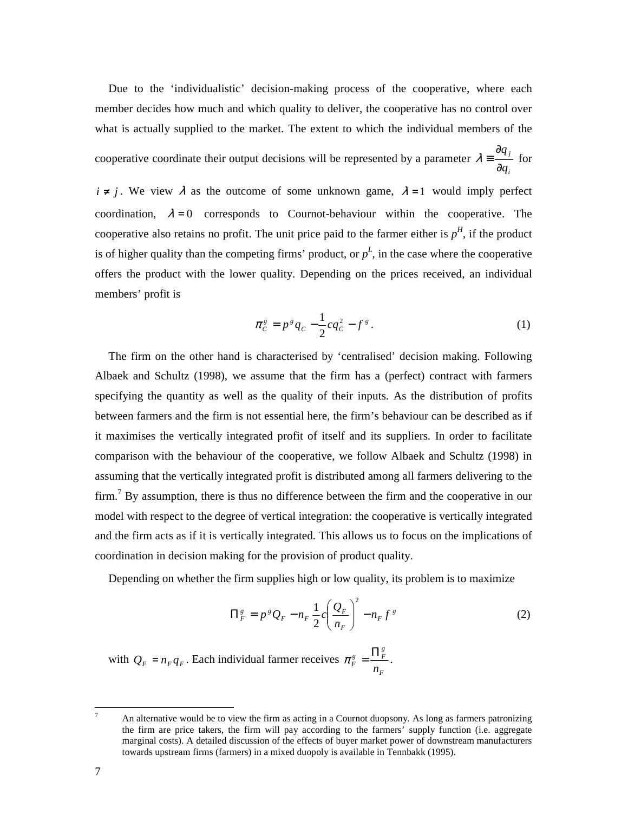Due to the 'individualistic' decision-making process of the cooperative, where each member decides how much and which quality to deliver, the cooperative has no control over what is actually supplied to the market. The extent to which the individual members of the

cooperative coordinate their output decisions will be represented by a parameter  $\lambda = \frac{dq}{2}$ *i q q* ∂ ∂  $\lambda = \frac{1}{2}$  for

 $i \neq j$ . We view  $\lambda$  as the outcome of some unknown game,  $\lambda = 1$  would imply perfect coordination,  $\lambda = 0$  corresponds to Cournot-behaviour within the cooperative. The cooperative also retains no profit. The unit price paid to the farmer either is  $p<sup>H</sup>$ , if the product is of higher quality than the competing firms' product, or  $p<sup>L</sup>$ , in the case where the cooperative offers the product with the lower quality. Depending on the prices received, an individual members' profit is

$$
\pi_c^s = p^s q_c - \frac{1}{2} c q_c^2 - f^s. \tag{1}
$$

The firm on the other hand is characterised by 'centralised' decision making. Following Albaek and Schultz (1998), we assume that the firm has a (perfect) contract with farmers specifying the quantity as well as the quality of their inputs. As the distribution of profits between farmers and the firm is not essential here, the firm's behaviour can be described as if it maximises the vertically integrated profit of itself and its suppliers. In order to facilitate comparison with the behaviour of the cooperative, we follow Albaek and Schultz (1998) in assuming that the vertically integrated profit is distributed among all farmers delivering to the firm.<sup>7</sup> By assumption, there is thus no difference between the firm and the cooperative in our model with respect to the degree of vertical integration: the cooperative is vertically integrated and the firm acts as if it is vertically integrated. This allows us to focus on the implications of coordination in decision making for the provision of product quality.

Depending on whether the firm supplies high or low quality, its problem is to maximize

$$
\Pi_F^s = p^s Q_F - n_F \frac{1}{2} c \left( \frac{Q_F}{n_F} \right)^2 - n_F f^s \tag{2}
$$

with  $Q_F = n_F q_F$ . Each individual farmer receives *F*  $\frac{g}{F} = \frac{\prod_{F}^{g}}{n_{F}}$  $\pi_F^g = \frac{\prod_F^g}{\prod_F^g}$ .

<sup>-&</sup>lt;br>7 An alternative would be to view the firm as acting in a Cournot duopsony. As long as farmers patronizing the firm are price takers, the firm will pay according to the farmers' supply function (i.e. aggregate marginal costs). A detailed discussion of the effects of buyer market power of downstream manufacturers towards upstream firms (farmers) in a mixed duopoly is available in Tennbakk (1995).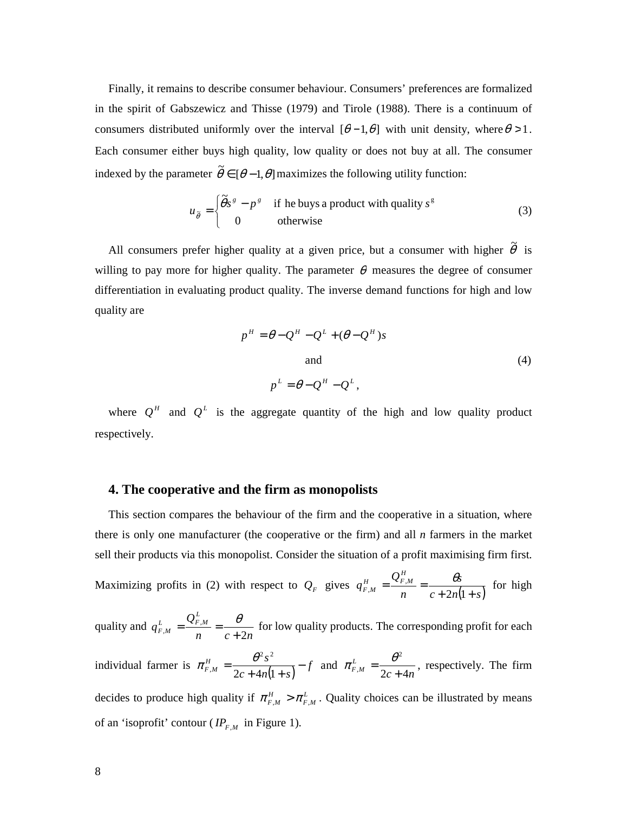Finally, it remains to describe consumer behaviour. Consumers' preferences are formalized in the spirit of Gabszewicz and Thisse (1979) and Tirole (1988). There is a continuum of consumers distributed uniformly over the interval  $[\theta - 1, \theta]$  with unit density, where  $\theta > 1$ . Each consumer either buys high quality, low quality or does not buy at all. The consumer indexed by the parameter  $\tilde{\theta} \in [\theta - 1, \theta]$  maximizes the following utility function:

$$
u_{\tilde{\theta}} = \begin{cases} \tilde{\theta}s^s - p^s & \text{if he buys a product with quality } s^s \\ 0 & \text{otherwise} \end{cases}
$$
 (3)

All consumers prefer higher quality at a given price, but a consumer with higher  $\tilde{\theta}$  is willing to pay more for higher quality. The parameter  $\theta$  measures the degree of consumer differentiation in evaluating product quality. The inverse demand functions for high and low quality are

$$
p^{H} = \theta - Q^{H} - Q^{L} + (\theta - Q^{H})s
$$
  
and  

$$
p^{L} = \theta - Q^{H} - Q^{L},
$$
 (4)

where  $Q^H$  and  $Q^L$  is the aggregate quantity of the high and low quality product respectively.

## **4. The cooperative and the firm as monopolists**

This section compares the behaviour of the firm and the cooperative in a situation, where there is only one manufacturer (the cooperative or the firm) and all *n* farmers in the market sell their products via this monopolist. Consider the situation of a profit maximising firm first. Maximizing profits in (2) with respect to  $Q_F$  gives  $q_{F,M}^H = \frac{\mathcal{Q}_F \cdot M}{n} = \frac{\mathcal{Q}_F}{c + 2n(1+s)}$ *s n Q q*  $H_{F,M}^H = \frac{Q_{F,M}^H}{n} = \frac{\theta s}{c + 2n(1 + \theta s)}$  $=\frac{\sum F_{,M}}{F}$  $2n(1)$ , ,  $\frac{\theta s}{\theta}$  for high quality and *n c n Q q*  $L_{F,M}^L = \frac{Q_{F,M}^L}{n} = \frac{\theta}{c+2}$ ,  $\begin{array}{cc} m & - & - \\ n & c + \end{array}$  $=\frac{Q_{F,M}}{Q}=\frac{\theta}{2}$  for low quality products. The corresponding profit for each individual farmer is  $\pi_{F,M}^H = \frac{c^3}{2c + 4n(1+s)} - f$  $H_{F,M}$  =  $\frac{\theta^2 s^2}{2c + 4n(1+s)}$ =  $2c + 4n(1)$  $2^2$ ,  $\pi_{F,M}^H = \frac{\theta^2 s^2}{2(1 + \theta^2 s^2)} - f$  and  $c + 4n$  $L_{F,M}^{L} = \frac{U}{2c+4}$ 2  $^{M}$  – 2c +  $\pi_{F,M}^L = \frac{\theta^2}{2\pi\epsilon}$ , respectively. The firm

decides to produce high quality if  $\pi_{F,M}^H > \pi_{F,M}^L$ . Quality choices can be illustrated by means of an 'isoprofit' contour ( $IP_{F,M}$  in Figure 1).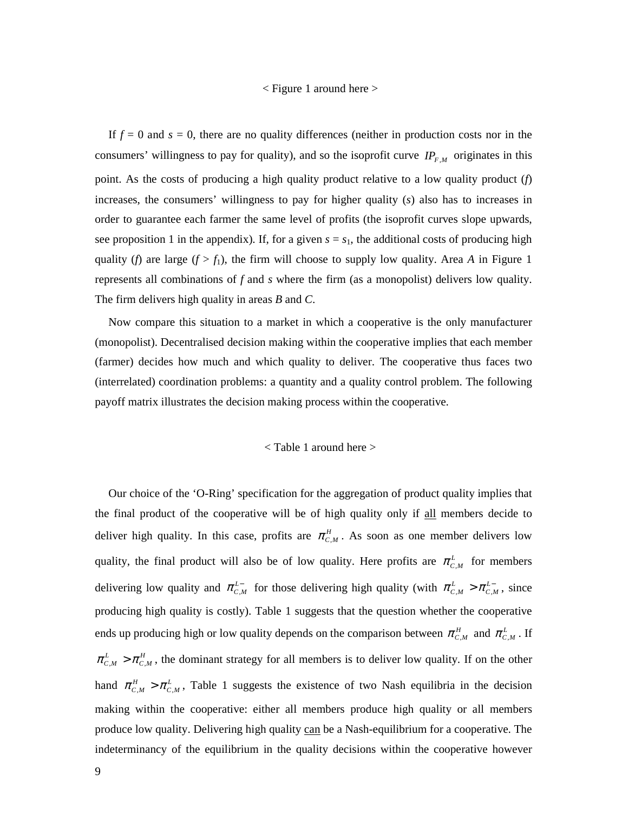#### < Figure 1 around here >

If  $f = 0$  and  $s = 0$ , there are no quality differences (neither in production costs nor in the consumers' willingness to pay for quality), and so the isoprofit curve  $IP_{F,M}$  originates in this point. As the costs of producing a high quality product relative to a low quality product (*f*) increases, the consumers' willingness to pay for higher quality (*s*) also has to increases in order to guarantee each farmer the same level of profits (the isoprofit curves slope upwards, see proposition 1 in the appendix). If, for a given  $s = s<sub>1</sub>$ , the additional costs of producing high quality (*f*) are large ( $f > f_1$ ), the firm will choose to supply low quality. Area *A* in Figure 1 represents all combinations of *f* and *s* where the firm (as a monopolist) delivers low quality. The firm delivers high quality in areas *B* and *C*.

Now compare this situation to a market in which a cooperative is the only manufacturer (monopolist). Decentralised decision making within the cooperative implies that each member (farmer) decides how much and which quality to deliver. The cooperative thus faces two (interrelated) coordination problems: a quantity and a quality control problem. The following payoff matrix illustrates the decision making process within the cooperative.

### < Table 1 around here >

Our choice of the 'O-Ring' specification for the aggregation of product quality implies that the final product of the cooperative will be of high quality only if all members decide to deliver high quality. In this case, profits are  $\pi_{C,M}^H$ . As soon as one member delivers low quality, the final product will also be of low quality. Here profits are  $\pi_{c,M}^L$  for members delivering low quality and  $\pi_{C,M}^{L-}$  for those delivering high quality (with  $\pi_{C,M}^{L} > \pi_{C,M}^{L-}$ , since producing high quality is costly). Table 1 suggests that the question whether the cooperative ends up producing high or low quality depends on the comparison between  $\pi_{c,M}^H$  and  $\pi_{c,M}^L$ . If  $\pi_{C,M}^L > \pi_{C,M}^H$ , the dominant strategy for all members is to deliver low quality. If on the other hand  $\pi_{c,M}^H > \pi_{c,M}^L$ , Table 1 suggests the existence of two Nash equilibria in the decision making within the cooperative: either all members produce high quality or all members produce low quality. Delivering high quality can be a Nash-equilibrium for a cooperative. The indeterminancy of the equilibrium in the quality decisions within the cooperative however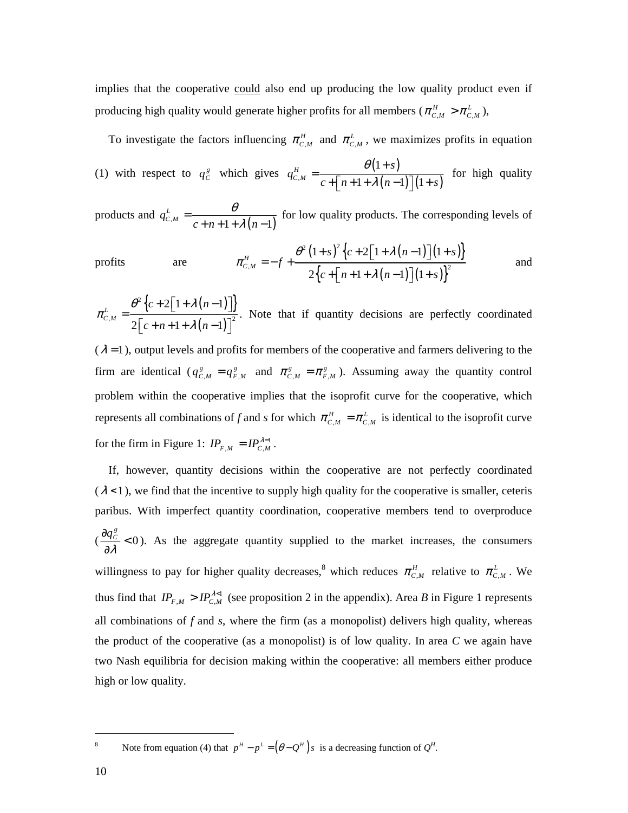implies that the cooperative could also end up producing the low quality product even if producing high quality would generate higher profits for all members ( $\pi_{C,M}^H > \pi_{C,M}^L$ ),

To investigate the factors influencing  $\pi_{C,M}^H$  and  $\pi_{C,M}^L$ , we maximizes profits in equation (1) with respect to  $q_C^g$  which gives  $q_{C,M}^H = \frac{\theta(1+s)}{\theta(1+s)}$  $\lambda^{M}$   $c + \lceil n + 1 + \lambda (n - 1) \rceil (1 + s)$ 1  $1 + \lambda (n - 1)$  | (1) *H C M s q*  $c + |n+1+\lambda(n-1)| (1+s)$ θ λ +  $=\frac{6(1+s)}{c + (n+1+\lambda(n-1))(1+s)}$  for high quality

products and  $q_{c,M}^L = \frac{b}{c+n+1+\lambda(n-1)}$  $q_{c,M}^L = \frac{b}{c + n + 1 + \lambda (n)}$ θ  $=\frac{c}{c+n+1+\lambda}$  $+n+1+\lambda (n$ for low quality products. The corresponding levels of

$$
\text{profits} \qquad \text{are} \qquad \pi_{C,M}^H = -f + \frac{\theta^2 (1+s)^2 \left\{ c + 2 \left[ 1 + \lambda (n-1) \right] (1+s) \right\}}{2 \left\{ c + \left[ n+1 + \lambda (n-1) \right] (1+s) \right\}^2} \qquad \text{and}
$$

 $\left\{ c+2\right\vert 1+\lambda(n-1)\right\}$  $(n-1)$ 2  $M = 2^{\sim}$  $2 | 1 + \lambda (n-1)$  $2 | c+n+1+\lambda (n-1)$ *L C M*  $c+2$ | 1+ $\lambda$ (*n*  $c + n + 1 + \lambda (n)$  $\pi_{c}^{L} = \frac{\theta^{2} \left\{ c + 2 \left[ 1 + \lambda \right] \right\}}{c + 2 \left[ 1 + \lambda \right]}$ λ  $= \frac{\theta^2 \left[ c + 2 \left[ 1 + \lambda (n-1) \right] \right]}{c}$  $\left[ c + n + 1 + \lambda (n-1) \right]$ . Note that if quantity decisions are perfectly coordinated

 $(\lambda = 1)$ , output levels and profits for members of the cooperative and farmers delivering to the firm are identical ( $q_{C,M}^g = q_{F,M}^g$  and  $\pi_{C,M}^g = \pi_{F,M}^g$ ). Assuming away the quantity control problem within the cooperative implies that the isoprofit curve for the cooperative, which represents all combinations of *f* and *s* for which  $\pi_{C,M}^H = \pi_{C,M}^L$  is identical to the isoprofit curve for the firm in Figure 1:  $IP_{F,M} = IP_{C,M}^{\lambda=1}$ .

If, however, quantity decisions within the cooperative are not perfectly coordinated  $(\lambda < 1)$ , we find that the incentive to supply high quality for the cooperative is smaller, ceteris paribus. With imperfect quantity coordination, cooperative members tend to overproduce  $\frac{q_C}{q_A} < 0$ ∂ ∂ λ  $\frac{q_c^g}{q}$  < 0). As the aggregate quantity supplied to the market increases, the consumers willingness to pay for higher quality decreases,<sup>8</sup> which reduces  $\pi_{c,M}^H$  relative to  $\pi_{c,M}^L$ . We thus find that  $IP_{F,M} > IP_{C,M}^{\lambda \leq 1}$  (see proposition 2 in the appendix). Area *B* in Figure 1 represents all combinations of  $f$  and  $s$ , where the firm (as a monopolist) delivers high quality, whereas the product of the cooperative (as a monopolist) is of low quality. In area *C* we again have two Nash equilibria for decision making within the cooperative: all members either produce high or low quality.

8 Note from equation (4) that  $p^H - p^L = (\theta - Q^H) s$  is a decreasing function of  $Q^H$ .

 $\overline{a}$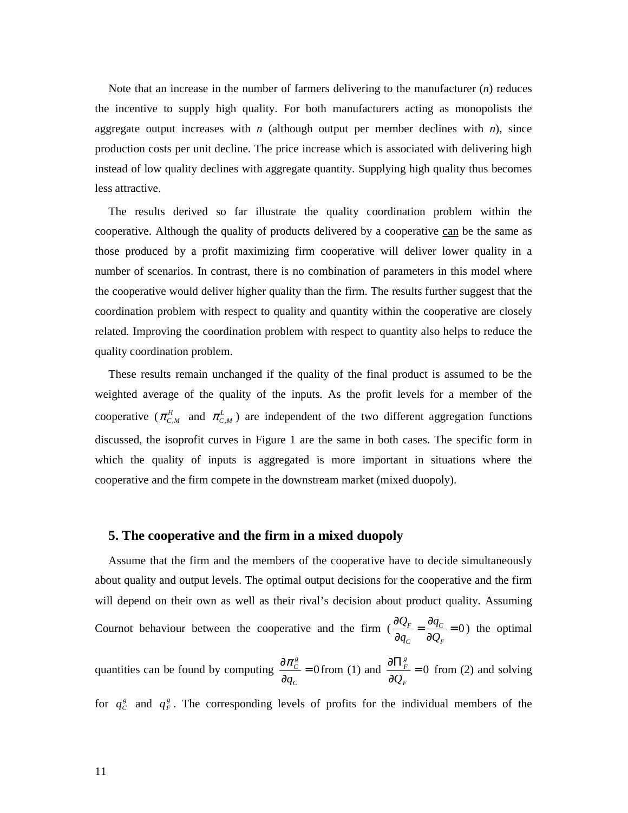Note that an increase in the number of farmers delivering to the manufacturer (*n*) reduces the incentive to supply high quality. For both manufacturers acting as monopolists the aggregate output increases with  $n$  (although output per member declines with  $n$ ), since production costs per unit decline. The price increase which is associated with delivering high instead of low quality declines with aggregate quantity. Supplying high quality thus becomes less attractive.

The results derived so far illustrate the quality coordination problem within the cooperative. Although the quality of products delivered by a cooperative can be the same as those produced by a profit maximizing firm cooperative will deliver lower quality in a number of scenarios. In contrast, there is no combination of parameters in this model where the cooperative would deliver higher quality than the firm. The results further suggest that the coordination problem with respect to quality and quantity within the cooperative are closely related. Improving the coordination problem with respect to quantity also helps to reduce the quality coordination problem.

These results remain unchanged if the quality of the final product is assumed to be the weighted average of the quality of the inputs. As the profit levels for a member of the cooperative ( $\pi_{C,M}^H$  and  $\pi_{C,M}^L$ ) are independent of the two different aggregation functions discussed, the isoprofit curves in Figure 1 are the same in both cases. The specific form in which the quality of inputs is aggregated is more important in situations where the cooperative and the firm compete in the downstream market (mixed duopoly).

## **5. The cooperative and the firm in a mixed duopoly**

Assume that the firm and the members of the cooperative have to decide simultaneously about quality and output levels. The optimal output decisions for the cooperative and the firm will depend on their own as well as their rival's decision about product quality. Assuming Cournot behaviour between the cooperative and the firm  $\left(\frac{\partial \mathcal{L}_F}{\partial \mathcal{L}}\right) = \frac{\partial q_C}{\partial \mathcal{L}} = 0$  $C$   $\cup \mathcal{Q}_F$  $\mathcal{Q}_{{}_F}$   $\partial q$  $q_c$   $\partial Q$  $\frac{\partial Q_{F}}{\partial z_{0}} = \frac{\partial q_{C}}{\partial z_{0}} =$  $\partial q_c$   $\partial$ ) the optimal

quantities can be found by computing  $\frac{\partial \mathcal{L}_C}{\partial x} = 0$ ∂ ∂ *C g C q*  $\frac{\pi_c^2}{\pi} = 0$  from (1) and  $\frac{\partial \Pi_F^*}{\partial \theta} = 0$ ∂ ∂Π *F g F Q* from (2) and solving

for  $q_c^s$  and  $q_F^s$ . The corresponding levels of profits for the individual members of the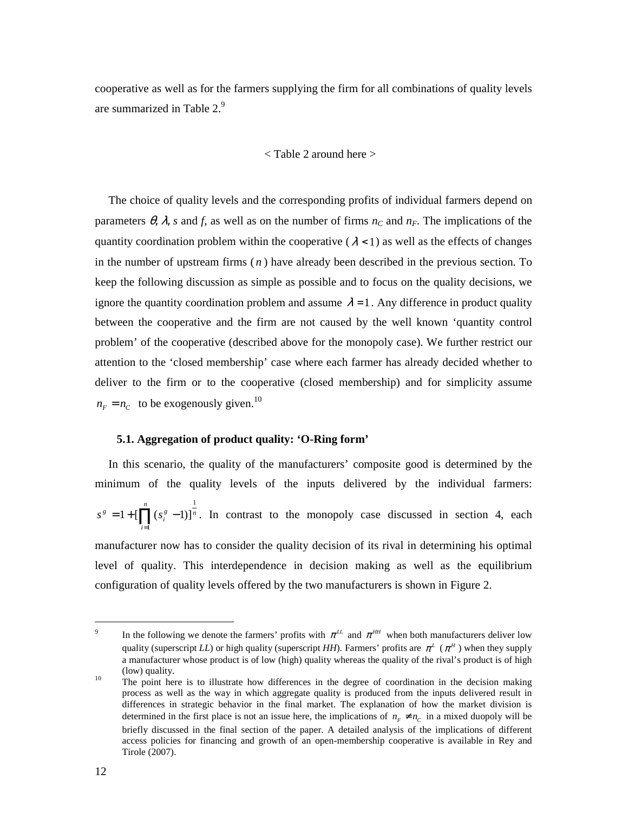cooperative as well as for the farmers supplying the firm for all combinations of quality levels are summarized in Table  $2<sup>9</sup>$ 

## < Table 2 around here >

The choice of quality levels and the corresponding profits of individual farmers depend on parameters  $\theta$ ,  $\lambda$ , *s* and *f*, as well as on the number of firms  $n_c$  and  $n_F$ . The implications of the quantity coordination problem within the cooperative ( $\lambda$ <1) as well as the effects of changes in the number of upstream firms ( *n* ) have already been described in the previous section. To keep the following discussion as simple as possible and to focus on the quality decisions, we ignore the quantity coordination problem and assume  $\lambda = 1$ . Any difference in product quality between the cooperative and the firm are not caused by the well known 'quantity control problem' of the cooperative (described above for the monopoly case). We further restrict our attention to the 'closed membership' case where each farmer has already decided whether to deliver to the firm or to the cooperative (closed membership) and for simplicity assume  $n_F = n_C$  to be exogenously given.<sup>10</sup>

## **5.1. Aggregation of product quality: 'O-Ring form'**

In this scenario, the quality of the manufacturers' composite good is determined by the minimum of the quality levels of the inputs delivered by the individual farmers: *n*  $s^g = 1 + \prod_{i=1}^{n} (s_i^g)$ *i*  $=1+[\prod_{i=1}^{n}(s_i^s-1)]^{\frac{1}{n}}$ . In contrast to the monopoly case discussed in section 4, each 1 = manufacturer now has to consider the quality decision of its rival in determining his optimal level of quality. This interdependence in decision making as well as the equilibrium configuration of quality levels offered by the two manufacturers is shown in Figure 2.

 $\overline{a}$ 

<sup>9</sup> In the following we denote the farmers' profits with  $\pi^{LL}$  and  $\pi^{HH}$  when both manufacturers deliver low quality (superscript *LL*) or high quality (superscript *HH*). Farmers' profits are  $\pi^L$  ( $\pi^H$ ) when they supply a manufacturer whose product is of low (high) quality whereas the quality of the rival's product is of high (low) quality.

<sup>&</sup>lt;sup>10</sup> The point here is to illustrate how differences in the degree of coordination in the decision making process as well as the way in which aggregate quality is produced from the inputs delivered result in differences in strategic behavior in the final market. The explanation of how the market division is determined in the first place is not an issue here, the implications of  $n_F \neq n_C$  in a mixed duopoly will be briefly discussed in the final section of the paper. A detailed analysis of the implications of different access policies for financing and growth of an open-membership cooperative is available in Rey and Tirole (2007).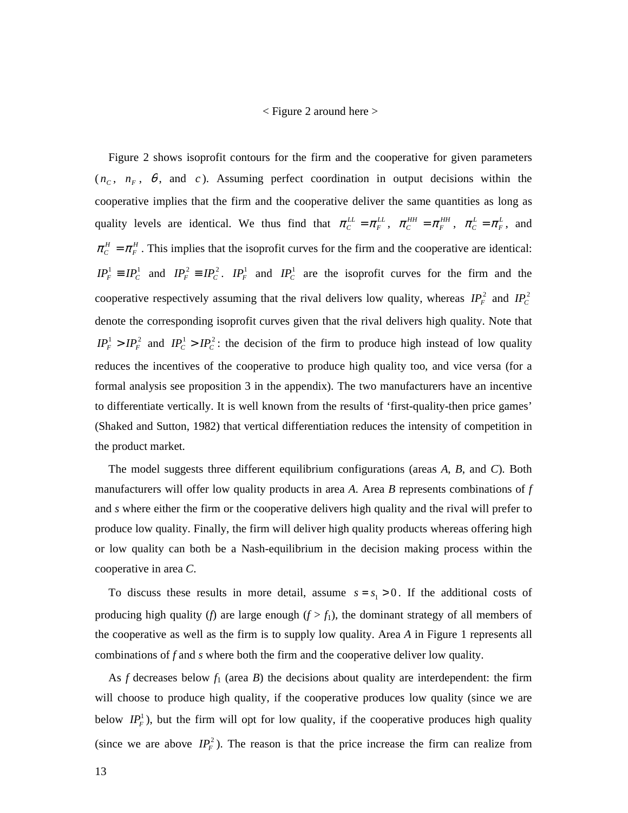## < Figure 2 around here >

Figure 2 shows isoprofit contours for the firm and the cooperative for given parameters  $(n_c, n_F, \theta, \text{ and } c)$ . Assuming perfect coordination in output decisions within the cooperative implies that the firm and the cooperative deliver the same quantities as long as quality levels are identical. We thus find that  $\pi_c^{LL} = \pi_F^{LL}$ ,  $\pi_c^{HH} = \pi_F^{HH}$ ,  $\pi_c^L = \pi_F^L$ , and  $\pi_c^H = \pi_F^H$ . This implies that the isoprofit curves for the firm and the cooperative are identical:  $IP_F^1 \equiv IP_C^1$  and  $IP_F^2 \equiv IP_C^2$ .  $IP_F^1$  and  $IP_C^1$  are the isoprofit curves for the firm and the cooperative respectively assuming that the rival delivers low quality, whereas  $IP_F^2$  and  $IP_C^2$ denote the corresponding isoprofit curves given that the rival delivers high quality. Note that  $IP_F^1 > IP_F^2$  and  $IP_C^1 > IP_C^2$ : the decision of the firm to produce high instead of low quality reduces the incentives of the cooperative to produce high quality too, and vice versa (for a formal analysis see proposition 3 in the appendix). The two manufacturers have an incentive to differentiate vertically. It is well known from the results of 'first-quality-then price games' (Shaked and Sutton, 1982) that vertical differentiation reduces the intensity of competition in the product market.

The model suggests three different equilibrium configurations (areas *A*, *B*, and *C*). Both manufacturers will offer low quality products in area *A*. Area *B* represents combinations of *f* and *s* where either the firm or the cooperative delivers high quality and the rival will prefer to produce low quality. Finally, the firm will deliver high quality products whereas offering high or low quality can both be a Nash-equilibrium in the decision making process within the cooperative in area *C*.

To discuss these results in more detail, assume  $s = s_1 > 0$ . If the additional costs of producing high quality (*f*) are large enough  $(f > f_1)$ , the dominant strategy of all members of the cooperative as well as the firm is to supply low quality. Area *A* in Figure 1 represents all combinations of *f* and *s* where both the firm and the cooperative deliver low quality.

As  $f$  decreases below  $f_1$  (area  $B$ ) the decisions about quality are interdependent: the firm will choose to produce high quality, if the cooperative produces low quality (since we are below  $IP<sub>F</sub><sup>1</sup>$ ), but the firm will opt for low quality, if the cooperative produces high quality (since we are above  $IP_F^2$ ). The reason is that the price increase the firm can realize from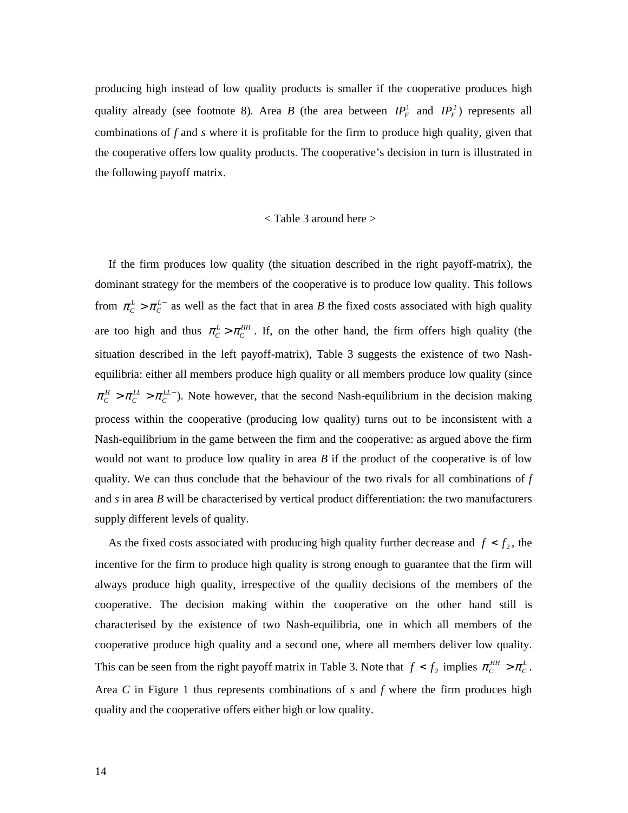producing high instead of low quality products is smaller if the cooperative produces high quality already (see footnote 8). Area *B* (the area between  $IP_F^1$  and  $IP_F^2$ ) represents all combinations of *f* and *s* where it is profitable for the firm to produce high quality, given that the cooperative offers low quality products. The cooperative's decision in turn is illustrated in the following payoff matrix.

### < Table 3 around here >

If the firm produces low quality (the situation described in the right payoff-matrix), the dominant strategy for the members of the cooperative is to produce low quality. This follows from  $\pi_c^L > \pi_c^{L-}$  as well as the fact that in area *B* the fixed costs associated with high quality are too high and thus  $\pi_c^L > \pi_c^{\mu\mu}$ . If, on the other hand, the firm offers high quality (the situation described in the left payoff-matrix), Table 3 suggests the existence of two Nashequilibria: either all members produce high quality or all members produce low quality (since  $\pi_c^H > \pi_c^{LL} > \pi_c^{LL}$ ). Note however, that the second Nash-equilibrium in the decision making process within the cooperative (producing low quality) turns out to be inconsistent with a Nash-equilibrium in the game between the firm and the cooperative: as argued above the firm would not want to produce low quality in area *B* if the product of the cooperative is of low quality. We can thus conclude that the behaviour of the two rivals for all combinations of *f* and *s* in area *B* will be characterised by vertical product differentiation: the two manufacturers supply different levels of quality.

As the fixed costs associated with producing high quality further decrease and  $f < f_2$ , the incentive for the firm to produce high quality is strong enough to guarantee that the firm will always produce high quality, irrespective of the quality decisions of the members of the cooperative. The decision making within the cooperative on the other hand still is characterised by the existence of two Nash-equilibria, one in which all members of the cooperative produce high quality and a second one, where all members deliver low quality. This can be seen from the right payoff matrix in Table 3. Note that  $f < f_2$  implies  $\pi_c^{HH} > \pi_c^L$ . Area *C* in Figure 1 thus represents combinations of *s* and *f* where the firm produces high quality and the cooperative offers either high or low quality.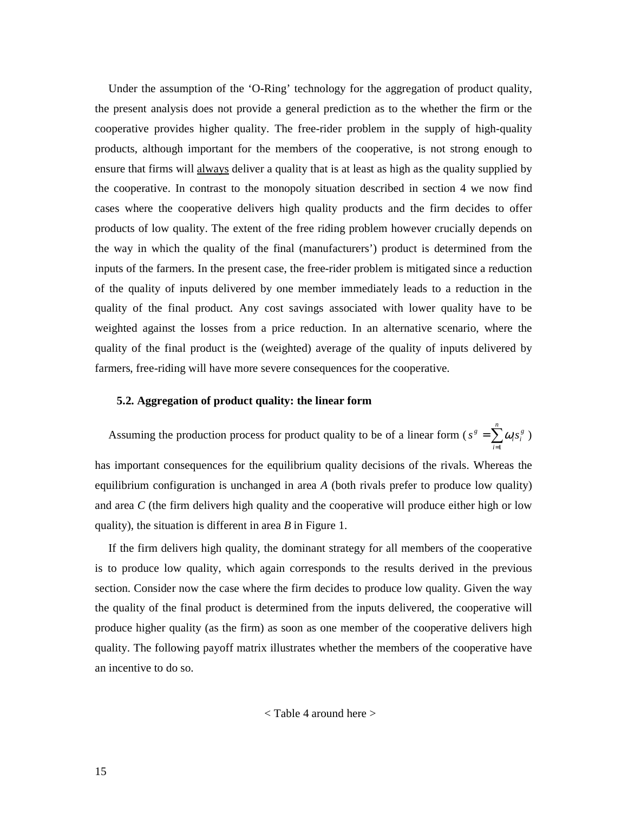Under the assumption of the 'O-Ring' technology for the aggregation of product quality, the present analysis does not provide a general prediction as to the whether the firm or the cooperative provides higher quality. The free-rider problem in the supply of high-quality products, although important for the members of the cooperative, is not strong enough to ensure that firms will always deliver a quality that is at least as high as the quality supplied by the cooperative. In contrast to the monopoly situation described in section 4 we now find cases where the cooperative delivers high quality products and the firm decides to offer products of low quality. The extent of the free riding problem however crucially depends on the way in which the quality of the final (manufacturers') product is determined from the inputs of the farmers. In the present case, the free-rider problem is mitigated since a reduction of the quality of inputs delivered by one member immediately leads to a reduction in the quality of the final product. Any cost savings associated with lower quality have to be weighted against the losses from a price reduction. In an alternative scenario, where the quality of the final product is the (weighted) average of the quality of inputs delivered by farmers, free-riding will have more severe consequences for the cooperative.

## **5.2. Aggregation of product quality: the linear form**

Assuming the production process for product quality to be of a linear form ( $s^s = \sum_{i=1}^{n}$  $=$  $\sum_{n=1}^{\infty}$ *i*  $s^{\,g} = \sum \omega_i s_i^{\,g}$ 1  $\omega_i s_i^g$ )

has important consequences for the equilibrium quality decisions of the rivals. Whereas the equilibrium configuration is unchanged in area *A* (both rivals prefer to produce low quality) and area *C* (the firm delivers high quality and the cooperative will produce either high or low quality), the situation is different in area *B* in Figure 1.

If the firm delivers high quality, the dominant strategy for all members of the cooperative is to produce low quality, which again corresponds to the results derived in the previous section. Consider now the case where the firm decides to produce low quality. Given the way the quality of the final product is determined from the inputs delivered, the cooperative will produce higher quality (as the firm) as soon as one member of the cooperative delivers high quality. The following payoff matrix illustrates whether the members of the cooperative have an incentive to do so.

$$
<
$$
 Table 4 around here  $>$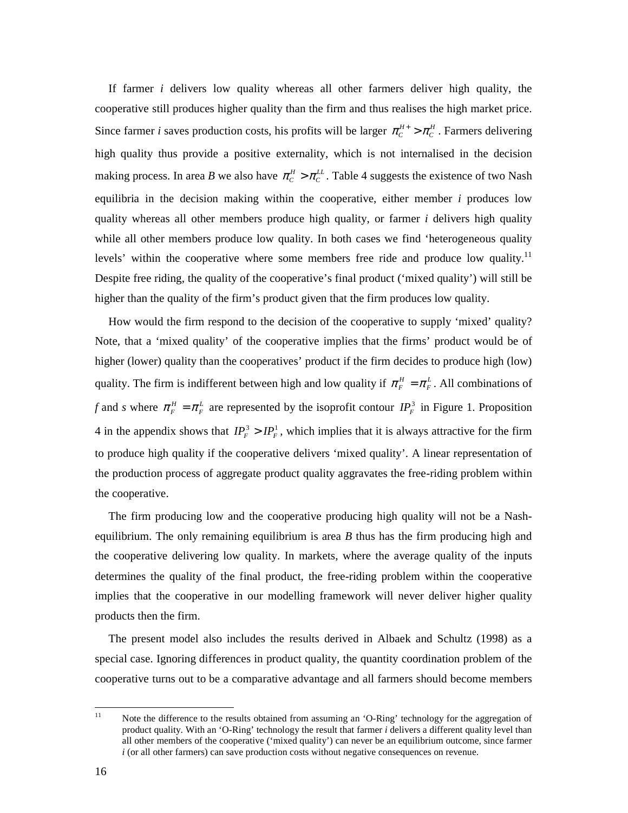If farmer *i* delivers low quality whereas all other farmers deliver high quality, the cooperative still produces higher quality than the firm and thus realises the high market price. Since farmer *i* saves production costs, his profits will be larger  $\pi_c^{H+} > \pi_c^H$ . Farmers delivering high quality thus provide a positive externality, which is not internalised in the decision making process. In area *B* we also have  $\pi_c^H > \pi_c^L$ . Table 4 suggests the existence of two Nash equilibria in the decision making within the cooperative, either member *i* produces low quality whereas all other members produce high quality, or farmer *i* delivers high quality while all other members produce low quality. In both cases we find 'heterogeneous quality levels' within the cooperative where some members free ride and produce low quality.<sup>11</sup> Despite free riding, the quality of the cooperative's final product ('mixed quality') will still be higher than the quality of the firm's product given that the firm produces low quality.

How would the firm respond to the decision of the cooperative to supply 'mixed' quality? Note, that a 'mixed quality' of the cooperative implies that the firms' product would be of higher (lower) quality than the cooperatives' product if the firm decides to produce high (low) quality. The firm is indifferent between high and low quality if  $\pi_F^H = \pi_F^L$ . All combinations of *f* and *s* where  $\pi_F^H = \pi_F^L$  are represented by the isoprofit contour  $IP_F^3$  in Figure 1. Proposition 4 in the appendix shows that  $IP_F^3 > IP_F^1$ , which implies that it is always attractive for the firm to produce high quality if the cooperative delivers 'mixed quality'. A linear representation of the production process of aggregate product quality aggravates the free-riding problem within the cooperative.

The firm producing low and the cooperative producing high quality will not be a Nashequilibrium. The only remaining equilibrium is area *B* thus has the firm producing high and the cooperative delivering low quality. In markets, where the average quality of the inputs determines the quality of the final product, the free-riding problem within the cooperative implies that the cooperative in our modelling framework will never deliver higher quality products then the firm.

The present model also includes the results derived in Albaek and Schultz (1998) as a special case. Ignoring differences in product quality, the quantity coordination problem of the cooperative turns out to be a comparative advantage and all farmers should become members

 $11$ Note the difference to the results obtained from assuming an 'O-Ring' technology for the aggregation of product quality. With an 'O-Ring' technology the result that farmer *i* delivers a different quality level than all other members of the cooperative ('mixed quality') can never be an equilibrium outcome, since farmer *i* (or all other farmers) can save production costs without negative consequences on revenue.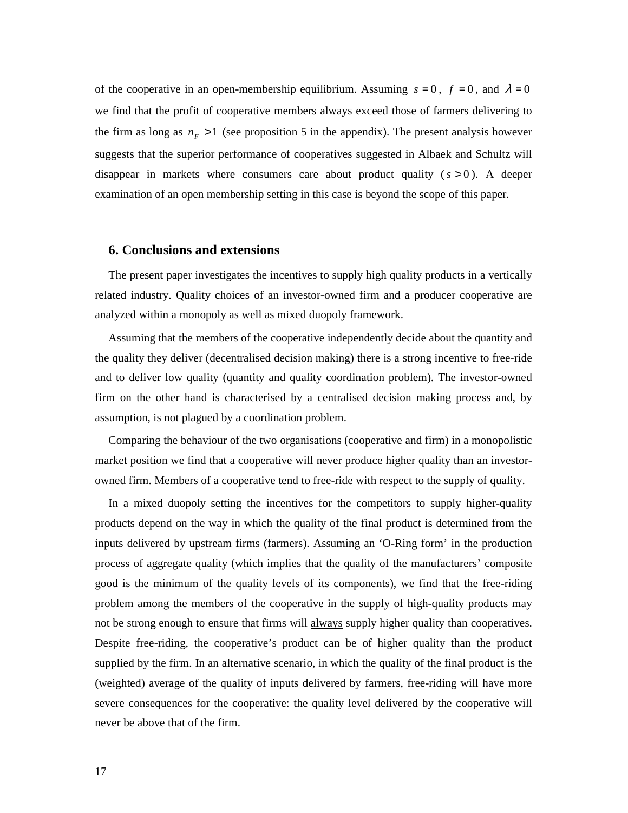of the cooperative in an open-membership equilibrium. Assuming  $s = 0$ ,  $f = 0$ , and  $\lambda = 0$ we find that the profit of cooperative members always exceed those of farmers delivering to the firm as long as  $n_F > 1$  (see proposition 5 in the appendix). The present analysis however suggests that the superior performance of cooperatives suggested in Albaek and Schultz will disappear in markets where consumers care about product quality  $(s > 0)$ . A deeper examination of an open membership setting in this case is beyond the scope of this paper.

## **6. Conclusions and extensions**

The present paper investigates the incentives to supply high quality products in a vertically related industry. Quality choices of an investor-owned firm and a producer cooperative are analyzed within a monopoly as well as mixed duopoly framework.

Assuming that the members of the cooperative independently decide about the quantity and the quality they deliver (decentralised decision making) there is a strong incentive to free-ride and to deliver low quality (quantity and quality coordination problem). The investor-owned firm on the other hand is characterised by a centralised decision making process and, by assumption, is not plagued by a coordination problem.

Comparing the behaviour of the two organisations (cooperative and firm) in a monopolistic market position we find that a cooperative will never produce higher quality than an investorowned firm. Members of a cooperative tend to free-ride with respect to the supply of quality.

In a mixed duopoly setting the incentives for the competitors to supply higher-quality products depend on the way in which the quality of the final product is determined from the inputs delivered by upstream firms (farmers). Assuming an 'O-Ring form' in the production process of aggregate quality (which implies that the quality of the manufacturers' composite good is the minimum of the quality levels of its components), we find that the free-riding problem among the members of the cooperative in the supply of high-quality products may not be strong enough to ensure that firms will always supply higher quality than cooperatives. Despite free-riding, the cooperative's product can be of higher quality than the product supplied by the firm. In an alternative scenario, in which the quality of the final product is the (weighted) average of the quality of inputs delivered by farmers, free-riding will have more severe consequences for the cooperative: the quality level delivered by the cooperative will never be above that of the firm.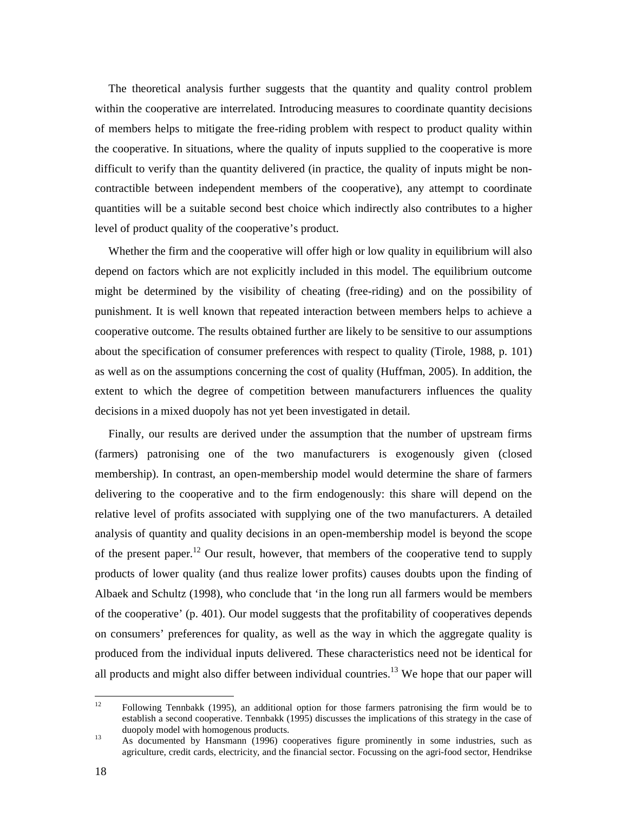The theoretical analysis further suggests that the quantity and quality control problem within the cooperative are interrelated. Introducing measures to coordinate quantity decisions of members helps to mitigate the free-riding problem with respect to product quality within the cooperative. In situations, where the quality of inputs supplied to the cooperative is more difficult to verify than the quantity delivered (in practice, the quality of inputs might be noncontractible between independent members of the cooperative), any attempt to coordinate quantities will be a suitable second best choice which indirectly also contributes to a higher level of product quality of the cooperative's product.

Whether the firm and the cooperative will offer high or low quality in equilibrium will also depend on factors which are not explicitly included in this model. The equilibrium outcome might be determined by the visibility of cheating (free-riding) and on the possibility of punishment. It is well known that repeated interaction between members helps to achieve a cooperative outcome. The results obtained further are likely to be sensitive to our assumptions about the specification of consumer preferences with respect to quality (Tirole, 1988, p. 101) as well as on the assumptions concerning the cost of quality (Huffman, 2005). In addition, the extent to which the degree of competition between manufacturers influences the quality decisions in a mixed duopoly has not yet been investigated in detail.

Finally, our results are derived under the assumption that the number of upstream firms (farmers) patronising one of the two manufacturers is exogenously given (closed membership). In contrast, an open-membership model would determine the share of farmers delivering to the cooperative and to the firm endogenously: this share will depend on the relative level of profits associated with supplying one of the two manufacturers. A detailed analysis of quantity and quality decisions in an open-membership model is beyond the scope of the present paper.<sup>12</sup> Our result, however, that members of the cooperative tend to supply products of lower quality (and thus realize lower profits) causes doubts upon the finding of Albaek and Schultz (1998), who conclude that 'in the long run all farmers would be members of the cooperative' (p. 401). Our model suggests that the profitability of cooperatives depends on consumers' preferences for quality, as well as the way in which the aggregate quality is produced from the individual inputs delivered. These characteristics need not be identical for all products and might also differ between individual countries.<sup>13</sup> We hope that our paper will

 $12$ <sup>12</sup> Following Tennbakk (1995), an additional option for those farmers patronising the firm would be to establish a second cooperative. Tennbakk (1995) discusses the implications of this strategy in the case of duopoly model with homogenous products.

<sup>&</sup>lt;sup>13</sup> As documented by Hansmann (1996) cooperatives figure prominently in some industries, such as agriculture, credit cards, electricity, and the financial sector. Focussing on the agri-food sector, Hendrikse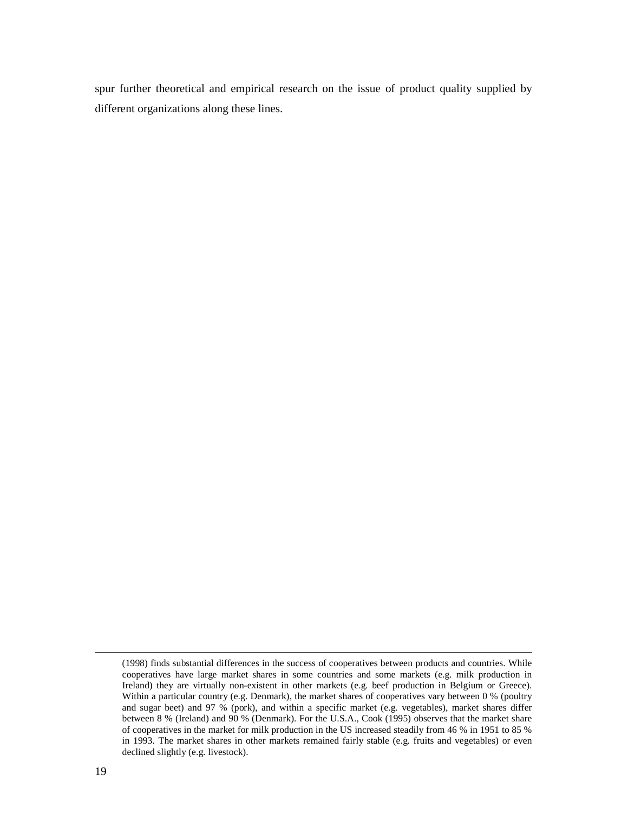spur further theoretical and empirical research on the issue of product quality supplied by different organizations along these lines.

 $\overline{a}$ 

<sup>(1998)</sup> finds substantial differences in the success of cooperatives between products and countries. While cooperatives have large market shares in some countries and some markets (e.g. milk production in Ireland) they are virtually non-existent in other markets (e.g. beef production in Belgium or Greece). Within a particular country (e.g. Denmark), the market shares of cooperatives vary between 0 % (poultry and sugar beet) and 97 % (pork), and within a specific market (e.g. vegetables), market shares differ between 8 % (Ireland) and 90 % (Denmark). For the U.S.A., Cook (1995) observes that the market share of cooperatives in the market for milk production in the US increased steadily from 46 % in 1951 to 85 % in 1993. The market shares in other markets remained fairly stable (e.g. fruits and vegetables) or even declined slightly (e.g. livestock).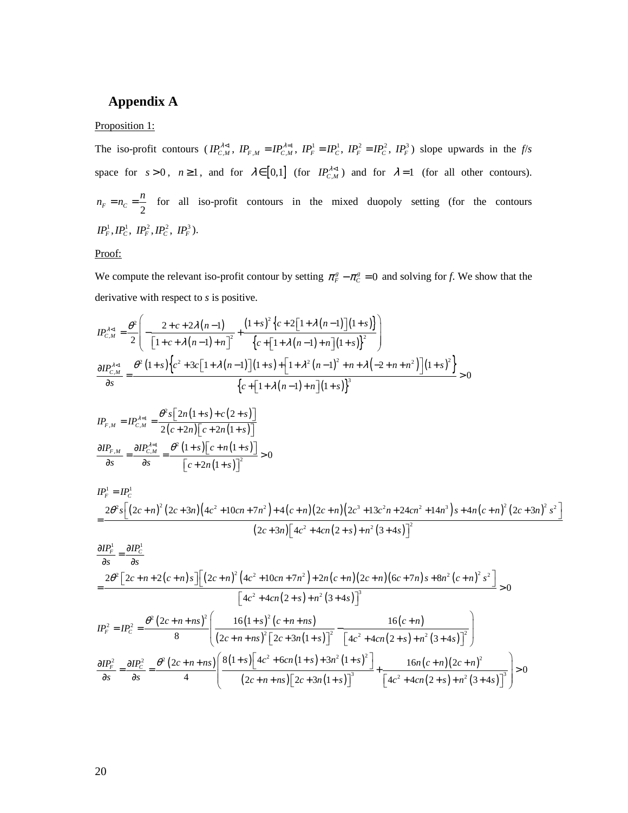# **Appendix A**

## Proposition 1:

The iso-profit contours  $(IP_{C,M}^{\lambda<1}, IP_{F,M} = IP_{C,M}^{\lambda=1}, IP_F^1 = IP_C^1, IP_F^2 = IP_C^2, IP_F^3)$  slope upwards in the *f/s* space for  $s > 0$ ,  $n \ge 1$ , and for  $\lambda \in [0,1]$  (for  $IP_{C,M}^{\lambda \le 1}$ ) and for  $\lambda = 1$  (for all other contours).  $F - n_c - \frac{1}{2}$  $n_F = n_C = \frac{n}{2}$  for all iso-profit contours in the mixed duopoly setting (for the contours  $IP_F^1, IP_C^1, IP_F^2, IP_C^2, IP_F^3$ ).

Proof:

We compute the relevant iso-profit contour by setting  $\pi_F^s - \pi_C^s = 0$  and solving for *f*. We show that the derivative with respect to *s* is positive.

$$
IP_{C,M}^{\lambda < 1} = \frac{\theta^2}{2} \left( -\frac{2 + c + 2\lambda (n-1)}{\left[1 + c + \lambda (n-1) + n\right]^2} + \frac{\left(1 + s\right)^2 \left\{c + 2\left[1 + \lambda (n-1)\right]\left(1 + s\right)\right\}}{\left\{c + \left[1 + \lambda (n-1) + n\right]\left(1 + s\right)\right\}^2} \right)
$$

$$
\frac{\partial IP_{C,M}^{\lambda < 1}}{\partial s} = \frac{\theta^2 \left(1 + s\right) \left\{c^2 + 3c\left[1 + \lambda (n-1)\right]\left(1 + s\right) + \left[1 + \lambda^2 (n-1)^2 + n + \lambda \left(-2 + n + n^2\right)\right]\left(1 + s\right)^2\right\}}{\left\{c + \left[1 + \lambda (n-1) + n\right]\left(1 + s\right)\right\}^3} > 0
$$

$$
IP_{F,M} = IP_{C,M}^{\lambda=1} = \frac{\theta^2 s \left[ 2n(1+s) + c(2+s) \right]}{2(c+2n) \left[ c + 2n(1+s) \right]}
$$

$$
\frac{\partial IP_{F,M}}{\partial s} = \frac{\partial IP_{C,M}^{\lambda=1}}{\partial s} = \frac{\theta^2 (1+s) \left[ c + n(1+s) \right]}{\left[ c + 2n(1+s) \right]^2} > 0
$$

$$
IP_{F}^{1} = IP_{C}^{1}
$$
  
= 
$$
\frac{2\theta^{2} s \left[ \left( 2c + n \right)^{2} \left( 2c + 3n \right) \left( 4c^{2} + 10cn + 7n^{2} \right) + 4(c + n) \left( 2c + n \right) \left( 2c^{3} + 13c^{2}n + 24cn^{2} + 14n^{3} \right) s + 4n(c + n)^{2} \left( 2c + 3n \right)^{2} s^{2} \right]}{(2c + 3n) \left[ 4c^{2} + 4cn(2 + s) + n^{2} (3 + 4s) \right]^{2}}
$$

$$
\frac{\partial IP_r^1}{\partial s} = \frac{\partial IP_c^1}{\partial s}
$$
\n
$$
= \frac{2\theta^2 \left[2c + n + 2(c + n)s\right] \left[(2c + n)^2 \left(4c^2 + 10cn + 7n^2\right) + 2n(c + n)(2c + n)(6c + 7n)s + 8n^2(c + n)^2 s^2\right]}{\left[4c^2 + 4cn(2 + s) + n^2(3 + 4s)\right]^3} > 0
$$
\n
$$
IP_r^2 = IP_c^2 = \frac{\theta^2 \left(2c + n + ns\right)^2}{8} \left(\frac{16(1 + s)^2 (c + n + ns)}{(2c + n + ns)^2 \left[2c + 3n(1 + s)\right]^2} - \frac{16(c + n)}{\left[4c^2 + 4cn(2 + s) + n^2(3 + 4s)\right]^2}\right)
$$
\n
$$
\frac{\partial IP_r^2}{\partial s} = \frac{\partial IP_c^2}{\partial s} = \frac{\theta^2 \left(2c + n + ns\right) \left[\frac{8(1 + s) \left[4c^2 + 6cn(1 + s) + 3n^2(1 + s)^2\right]}{(2c + n + ns) \left[2c + 3n(1 + s)\right]^3} + \frac{16n(c + n)(2c + n)^2}{\left[4c^2 + 4cn(2 + s) + n^2(3 + 4s)\right]^3}\right]} > 0
$$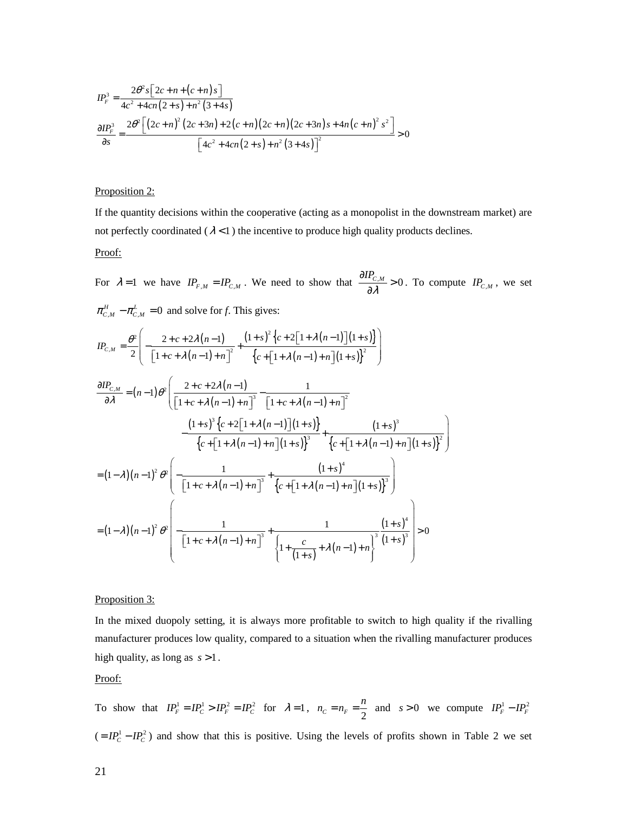$$
IP_{F}^{3} = \frac{2\theta^{2} s \left[2c + n + (c + n) s\right]}{4c^{2} + 4cn(2 + s) + n^{2} (3 + 4s)}
$$
  

$$
\frac{\partial IP_{F}^{3}}{\partial s} = \frac{2\theta^{2} \left[\left(2c + n\right)^{2} \left(2c + 3n\right) + 2\left(c + n\right)\left(2c + n\right)\left(2c + 3n\right)s + 4n\left(c + n\right)^{2} s^{2}\right]}{\left[4c^{2} + 4cn(2 + s) + n^{2} (3 + 4s)\right]^{2}} > 0
$$

## Proposition 2:

If the quantity decisions within the cooperative (acting as a monopolist in the downstream market) are not perfectly coordinated  $(\lambda < 1)$  the incentive to produce high quality products declines. Proof:

For  $\lambda = 1$  we have  $IP_{F,M} = IP_{C,M}$ . We need to show that  $\frac{\partial IP_{C,M}}{\partial \lambda} > 0$ λ  $\frac{\partial IP_{C,M}}{\partial \lambda} >$  $\frac{\partial^2 C_{\mathcal{M}}}{\partial \lambda} > 0$ . To compute  $IP_{C,M}$ , we set  $\pi_{C,M}^H - \pi_{C,M}^L = 0$  and solve for *f*. This gives:

$$
IP_{c,M} = \frac{\theta^2}{2} \left( -\frac{2+c+2\lambda(n-1)}{\left[1+c+\lambda(n-1)+n\right]^2} + \frac{\left(1+s\right)^2 \left\{c+2\left[1+\lambda(n-1)\right]\left(1+s\right)\right\}}{\left\{c+\left[1+\lambda(n-1)+n\right]\left(1+s\right)\right\}^2} \right)
$$

$$
\frac{\partial IP_{c,M}}{\partial \lambda} = (n-1)\theta^2 \left( \frac{2+c+2\lambda(n-1)}{\left[1+c+\lambda(n-1)+n\right]^3} - \frac{1}{\left[1+c+\lambda(n-1)+n\right]^2} \right. \\
\left. - \frac{(1+s)^3 \left\{c+2\left[1+\lambda(n-1)\right](1+s)\right\}}{\left\{c+\left[1+\lambda(n-1)+n\right](1+s)\right\}^3} + \frac{(1+s)^3}{\left\{c+\left[1+\lambda(n-1)+n\right](1+s)\right\}^2} \right)
$$
\n
$$
= (1-\lambda)(n-1)^2 \theta^2 \left( -\frac{1}{\left[1+c+\lambda(n-1)+n\right]^3} + \frac{(1+s)^4}{\left\{c+\left[1+\lambda(n-1)+n\right](1+s)\right\}^3} \right)
$$
\n
$$
= (1-\lambda)(n-1)^2 \theta^2 \left( -\frac{1}{\left[1+c+\lambda(n-1)+n\right]^3} + \frac{1}{\left\{c+\left[1+\lambda(n-1)+n\right](1+s)\right\}^3} \right) > 0
$$

#### Proposition 3:

In the mixed duopoly setting, it is always more profitable to switch to high quality if the rivalling manufacturer produces low quality, compared to a situation when the rivalling manufacturer produces high quality, as long as *s* >1.

## Proof:

To show that  $IP_F^1 = IP_C^1 > IP_F^2 = IP_C^2$  for  $\lambda = 1$ ,  $n_C = n_F = \frac{n}{2}$  $n_c = n_F = \frac{n}{2}$  and  $s > 0$  we compute  $IP_F^1 - IP_F^2$  $(= IP<sub>C</sub><sup>1</sup> - IP<sub>C</sub><sup>2</sup>)$  and show that this is positive. Using the levels of profits shown in Table 2 we set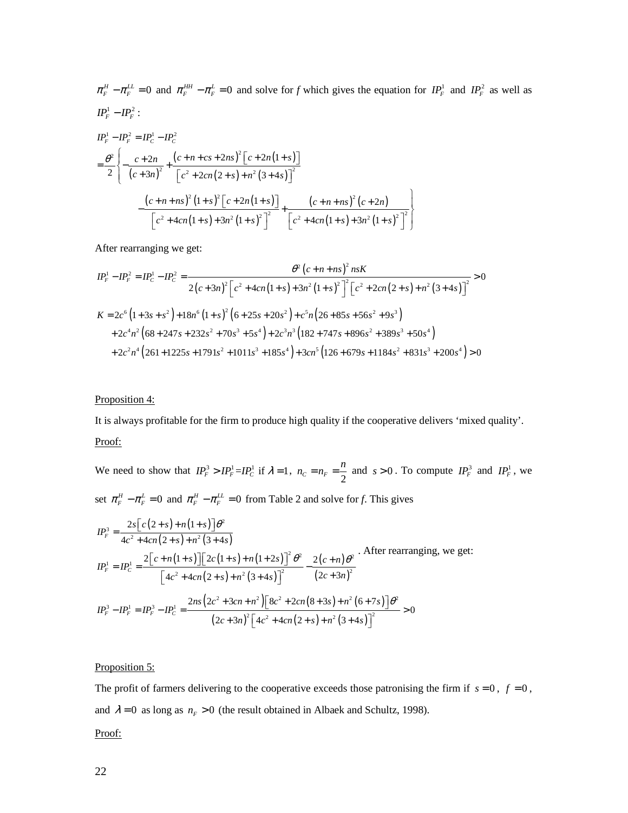$\pi_F^H - \pi_F^{LL} = 0$  and  $\pi_F^{HH} - \pi_F^L = 0$  and solve for *f* which gives the equation for  $IP_F^1$  and  $IP_F^2$  as well as  $IP_F^1 - IP_F^2$ :

$$
IP_{F}^{1} - IP_{F}^{2} = IP_{C}^{1} - IP_{C}^{2}
$$
\n
$$
= \frac{\theta^{2}}{2} \left\{ -\frac{c + 2n}{(c + 3n)^{2}} + \frac{(c + n + cs + 2ns)^{2} [c + 2n(1 + s)]}{[c^{2} + 2cn(2 + s) + n^{2} (3 + 4s)]^{2}} - \frac{(c + n + ns)^{2} (1 + s)^{2} [c + 2n(1 + s)]}{[c^{2} + 4cn(1 + s) + 3n^{2} (1 + s)^{2}]^{2}} + \frac{(c + n + ns)^{2} (c + 2n)}{[c^{2} + 4cn(1 + s) + 3n^{2} (1 + s)^{2}]^{2}} \right\}
$$

After rearranging we get:

$$
IP_{F}^{1} - IP_{F}^{2} = IP_{C}^{1} - IP_{C}^{2} = \frac{\theta^{2} (c + n + ns)^{2} n s K}{2(c + 3n)^{2} \left[c^{2} + 4cn(1 + s) + 3n^{2}(1 + s)^{2}\right]^{2} \left[c^{2} + 2cn(2 + s) + n^{2}(3 + 4s)\right]^{2}} > 0
$$
  
\n
$$
K = 2c^{6} (1 + 3s + s^{2}) + 18n^{6} (1 + s)^{2} (6 + 25s + 20s^{2}) + c^{5} n (26 + 85s + 56s^{2} + 9s^{3})
$$
  
\n
$$
+ 2c^{4} n^{2} (68 + 247s + 232s^{2} + 70s^{3} + 5s^{4}) + 2c^{3} n^{3} (182 + 747s + 896s^{2} + 389s^{3} + 50s^{4})
$$
  
\n
$$
+ 2c^{2} n^{4} (261 + 1225s + 1791s^{2} + 1011s^{3} + 185s^{4}) + 3cn^{5} (126 + 679s + 1184s^{2} + 831s^{3} + 200s^{4}) > 0
$$

## Proposition 4:

It is always profitable for the firm to produce high quality if the cooperative delivers 'mixed quality'. Proof:

We need to show that  $IP_F^3 > IP_F^1 = IP_C^1$  if  $\lambda = 1$ ,  $n_C = n_F = \frac{n}{2}$  $n_c = n_F = \frac{n}{2}$  and  $s > 0$ . To compute  $IP_F^3$  and  $IP_F^1$ , we set  $\pi_F^H - \pi_F^L = 0$  and  $\pi_F^H - \pi_F^L = 0$  from Table 2 and solve for *f*. This gives

$$
IP_r^3 = \frac{2s[c(2+s) + n(1+s)]\theta^2}{4c^2 + 4cn(2+s) + n^2(3+4s)}
$$
  
\n
$$
IP_r^1 = IP_c^1 = \frac{2[c+n(1+s)][2c(1+s) + n(1+2s)]^2 \theta^2}{[4c^2 + 4cn(2+s) + n^2(3+4s)]^2} - \frac{2(c+n)\theta^2}{(2c+3n)^2}
$$
. After rearranging, we get:  
\n
$$
IP_r^3 - IP_r^1 = IP_r^3 - IP_c^1 = \frac{2ns(2c^2 + 3cn + n^2)[8c^2 + 2cn(8+3s) + n^2(6+7s)]\theta^2}{(2c+3n)^2[4c^2 + 4cn(2+s) + n^2(3+4s)]^2} > 0
$$

## Proposition 5:

The profit of farmers delivering to the cooperative exceeds those patronising the firm if  $s = 0$ ,  $f = 0$ , and  $\lambda = 0$  as long as  $n_F > 0$  (the result obtained in Albaek and Schultz, 1998).

#### Proof: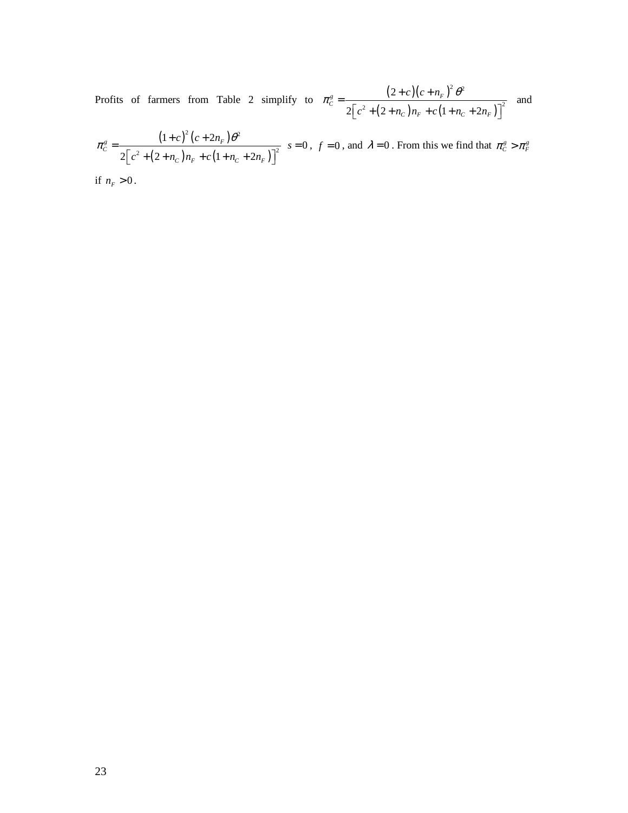Profits of farmers from Table 2 simplify to  $\pi_c^s = \frac{(2+c)(c+n_F)^2}{2m_F^s}$  $(2 + n_C) n_F + c (1 + n_C + 2n_F)$ <sup>2</sup>  $\mathbf{a}^2$  $^{2}$  (2 m)n o(1 m 2n)<sup>2</sup> 2  $2\left| c^2 + (2 + n_C) n_F + c \left( 1 + n_C + 2 \right) \right|$  $\frac{g}{c} = \frac{(2+c)(c+n_F)}{2c}$  $C f^{n}F^{-1}C(1+n_C+2n_F)$  $c$  )(  $c + n$  $c^2 + (2 + n_C)n_F + c(1 + n_C + 2n$  $\pi_c^s = \frac{(2+c)(c+n_F)^2 \theta}{\sqrt{c}}$  $\left[ c^2 + (2 + n_C) n_F + c (1 + n_C + 2n_F) \right]^2$ and

$$
\pi_C^g = \frac{\left(1+c\right)^2 \left(c+2n_F\right) \theta^2}{2\left[c^2 + \left(2+n_C\right)n_F + c\left(1+n_C+2n_F\right)\right]^2} \quad s = 0 \, , \, f = 0 \, , \text{ and } \, \lambda = 0 \, . \text{ From this we find that } \pi_C^g > \pi_F^g
$$

if  $n_F > 0$ .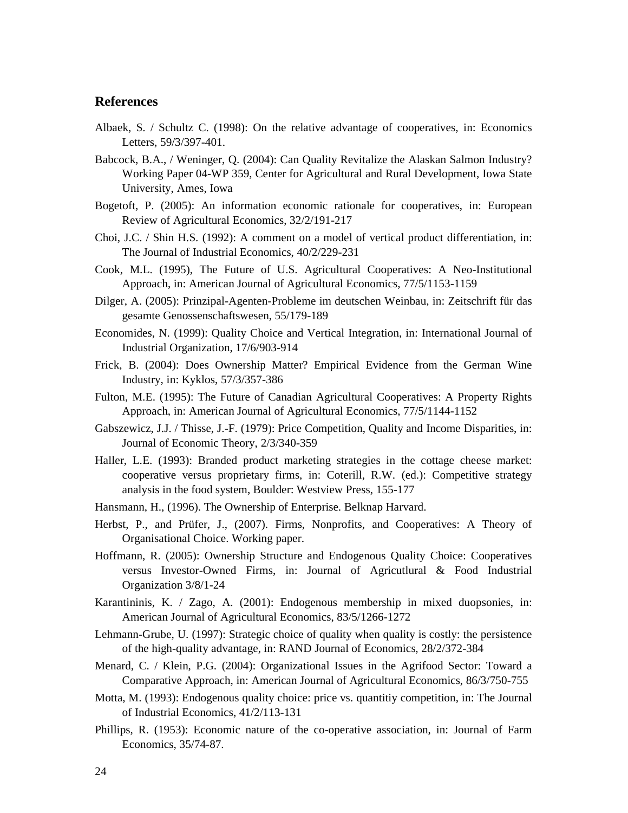# **References**

- Albaek, S. / Schultz C. (1998): On the relative advantage of cooperatives, in: Economics Letters, 59/3/397-401.
- Babcock, B.A., / Weninger, Q. (2004): Can Quality Revitalize the Alaskan Salmon Industry? Working Paper 04-WP 359, Center for Agricultural and Rural Development, Iowa State University, Ames, Iowa
- Bogetoft, P. (2005): An information economic rationale for cooperatives, in: European Review of Agricultural Economics, 32/2/191-217
- Choi, J.C. / Shin H.S. (1992): A comment on a model of vertical product differentiation, in: The Journal of Industrial Economics, 40/2/229-231
- Cook, M.L. (1995), The Future of U.S. Agricultural Cooperatives: A Neo-Institutional Approach, in: American Journal of Agricultural Economics, 77/5/1153-1159
- Dilger, A. (2005): Prinzipal-Agenten-Probleme im deutschen Weinbau, in: Zeitschrift für das gesamte Genossenschaftswesen, 55/179-189
- Economides, N. (1999): Quality Choice and Vertical Integration, in: International Journal of Industrial Organization, 17/6/903-914
- Frick, B. (2004): Does Ownership Matter? Empirical Evidence from the German Wine Industry, in: Kyklos, 57/3/357-386
- Fulton, M.E. (1995): The Future of Canadian Agricultural Cooperatives: A Property Rights Approach, in: American Journal of Agricultural Economics, 77/5/1144-1152
- Gabszewicz, J.J. / Thisse, J.-F. (1979): Price Competition, Quality and Income Disparities, in: Journal of Economic Theory, 2/3/340-359
- Haller, L.E. (1993): Branded product marketing strategies in the cottage cheese market: cooperative versus proprietary firms, in: Coterill, R.W. (ed.): Competitive strategy analysis in the food system, Boulder: Westview Press, 155-177
- Hansmann, H., (1996). The Ownership of Enterprise. Belknap Harvard.
- Herbst, P., and Prüfer, J., (2007). Firms, Nonprofits, and Cooperatives: A Theory of Organisational Choice. Working paper.
- Hoffmann, R. (2005): Ownership Structure and Endogenous Quality Choice: Cooperatives versus Investor-Owned Firms, in: Journal of Agricutlural & Food Industrial Organization 3/8/1-24
- Karantininis, K. / Zago, A. (2001): Endogenous membership in mixed duopsonies, in: American Journal of Agricultural Economics, 83/5/1266-1272
- Lehmann-Grube, U. (1997): Strategic choice of quality when quality is costly: the persistence of the high-quality advantage, in: RAND Journal of Economics, 28/2/372-384
- Menard, C. / Klein, P.G. (2004): Organizational Issues in the Agrifood Sector: Toward a Comparative Approach, in: American Journal of Agricultural Economics, 86/3/750-755
- Motta, M. (1993): Endogenous quality choice: price vs. quantitiy competition, in: The Journal of Industrial Economics, 41/2/113-131
- Phillips, R. (1953): Economic nature of the co-operative association, in: Journal of Farm Economics, 35/74-87.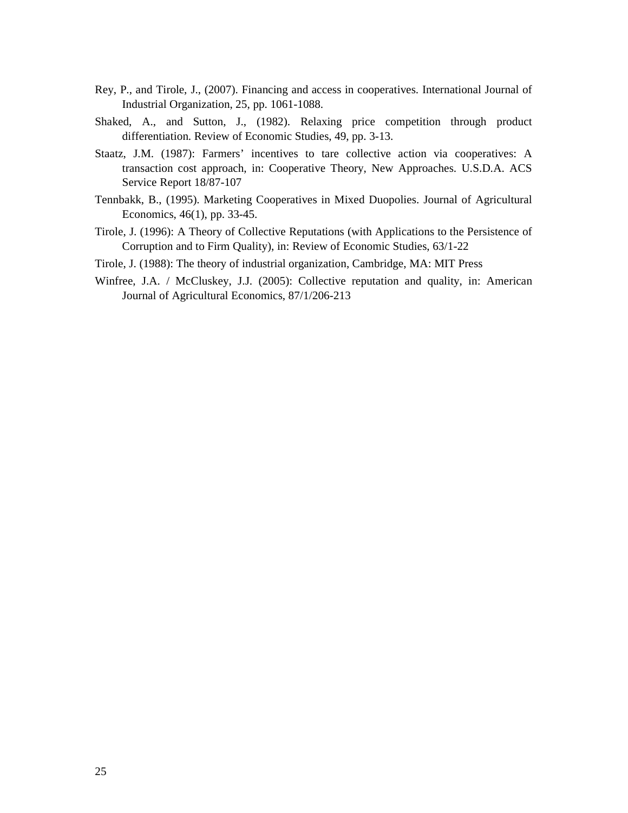- Rey, P., and Tirole, J., (2007). Financing and access in cooperatives. International Journal of Industrial Organization, 25, pp. 1061-1088.
- Shaked, A., and Sutton, J., (1982). Relaxing price competition through product differentiation. Review of Economic Studies, 49, pp. 3-13.
- Staatz, J.M. (1987): Farmers' incentives to tare collective action via cooperatives: A transaction cost approach, in: Cooperative Theory, New Approaches. U.S.D.A. ACS Service Report 18/87-107
- Tennbakk, B., (1995). Marketing Cooperatives in Mixed Duopolies. Journal of Agricultural Economics, 46(1), pp. 33-45.
- Tirole, J. (1996): A Theory of Collective Reputations (with Applications to the Persistence of Corruption and to Firm Quality), in: Review of Economic Studies, 63/1-22
- Tirole, J. (1988): The theory of industrial organization, Cambridge, MA: MIT Press
- Winfree, J.A. / McCluskey, J.J. (2005): Collective reputation and quality, in: American Journal of Agricultural Economics, 87/1/206-213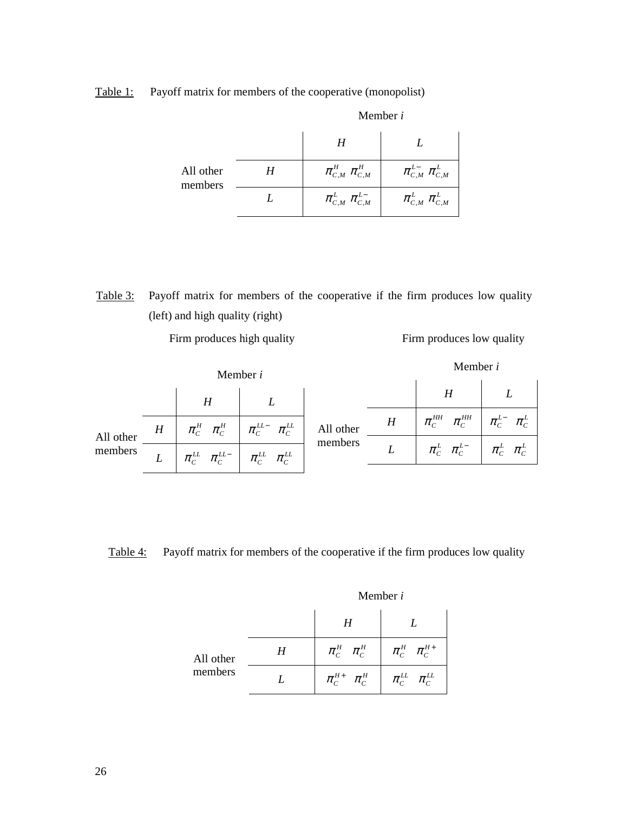Table 1: Payoff matrix for members of the cooperative (monopolist)

|                      | Member i                                                                                                      |                                                                                                              |
|----------------------|---------------------------------------------------------------------------------------------------------------|--------------------------------------------------------------------------------------------------------------|
|                      | H                                                                                                             |                                                                                                              |
| All other<br>members | $\pi_{\scriptscriptstyle C,M}^{\scriptscriptstyle H}$ $\pi_{\scriptscriptstyle C,M}^{\scriptscriptstyle H}$   | $\pi_{\scriptscriptstyle C,M}^{L-}\ \pi_{\scriptscriptstyle C,M}^{L}$                                        |
|                      | $\pi_{\scriptscriptstyle C,M}^{\scriptscriptstyle L} \; \pi_{\scriptscriptstyle C,M}^{\scriptscriptstyle L-}$ | $\pi_{\scriptscriptstyle C,M}^{\scriptscriptstyle L} \; \pi_{\scriptscriptstyle C,M}^{\scriptscriptstyle L}$ |

Table 3: Payoff matrix for members of the cooperative if the firm produces low quality (left) and high quality (right)

Firm produces high quality Firm produces low quality

| Member i             |   |                                                                                                                                                                                                    | Member <i>i</i>                                                                                                                                                                                                                                                                                                                                                   |                      |   |                                                                   |  |
|----------------------|---|----------------------------------------------------------------------------------------------------------------------------------------------------------------------------------------------------|-------------------------------------------------------------------------------------------------------------------------------------------------------------------------------------------------------------------------------------------------------------------------------------------------------------------------------------------------------------------|----------------------|---|-------------------------------------------------------------------|--|
|                      |   | H                                                                                                                                                                                                  |                                                                                                                                                                                                                                                                                                                                                                   |                      |   | $H^-$                                                             |  |
| All other<br>members | H |                                                                                                                                                                                                    | $\begin{array}{cc} \pi_{\scriptscriptstyle C}^{\scriptscriptstyle H} \end{array} \begin{array}{cc} \pi_{\scriptscriptstyle C}^{\scriptscriptstyle H} \end{array} \begin{array}{cc} \end{array} \begin{array}{cc} \pi_{\scriptscriptstyle C}^{\scriptscriptstyle LL} \end{array} \begin{array}{cc} \pi_{\scriptscriptstyle C}^{\scriptscriptstyle LL} \end{array}$ | All other<br>members | H | $\pi_c^{\rm HH}$ $\pi_c^{\rm HH}$ $\pi_c^{\rm L}$ $\pi_c^{\rm L}$ |  |
|                      |   | $L \parallel \pi_{\rm\scriptscriptstyle C}^{LL} \parallel \pi_{\rm\scriptscriptstyle C}^{LL-} \parallel \pi_{\rm\scriptscriptstyle C}^{LL} \parallel \pi_{\rm\scriptscriptstyle C}^{LL} \parallel$ |                                                                                                                                                                                                                                                                                                                                                                   |                      |   | $\pi_c^L$ $\pi_c^{L-}$ $\pi_c^L$ $\pi_c^L$                        |  |
|                      |   |                                                                                                                                                                                                    |                                                                                                                                                                                                                                                                                                                                                                   |                      |   |                                                                   |  |

Table 4: Payoff matrix for members of the cooperative if the firm produces low quality

|                      |                 | 1110111001 V                                                                                                 |                                                                                              |
|----------------------|-----------------|--------------------------------------------------------------------------------------------------------------|----------------------------------------------------------------------------------------------|
|                      |                 | $H_{\parallel}$                                                                                              |                                                                                              |
| All other<br>members | $H_{\parallel}$ | $\pi_c^{\scriptscriptstyle H}$ $\pi_c^{\scriptscriptstyle H}$                                                | $\pi_c^{\scriptscriptstyle H}$ $\pi_c^{\scriptscriptstyle H+}$                               |
|                      |                 | $\pi^{\scriptscriptstyle H+}_{{\scriptscriptstyle C}}$ $\pi^{\scriptscriptstyle H}_{{\scriptscriptstyle C}}$ | $\pi_{\scriptscriptstyle C}^{\scriptscriptstyle LL}$<br>$\pi_{\rm\scriptscriptstyle C}^{LL}$ |

Member *i*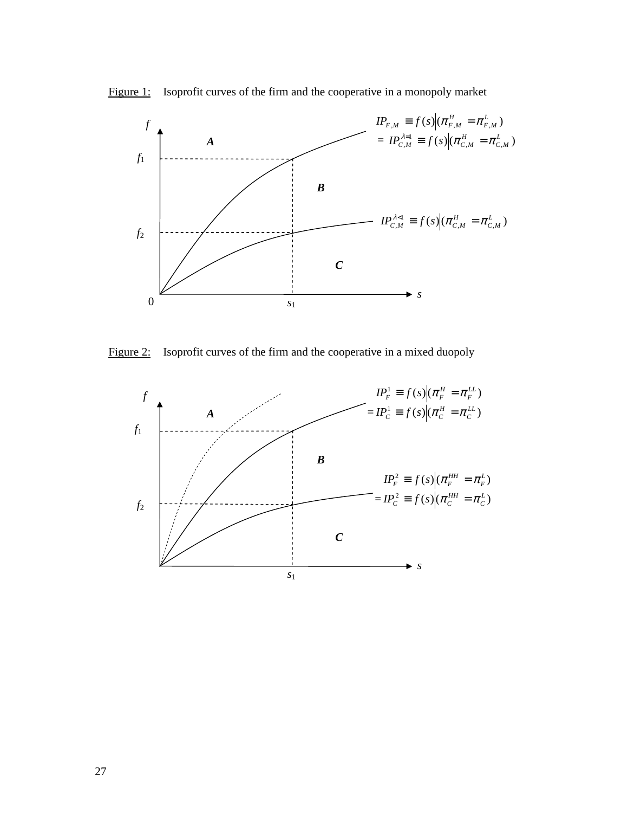



Figure 2: Isoprofit curves of the firm and the cooperative in a mixed duopoly